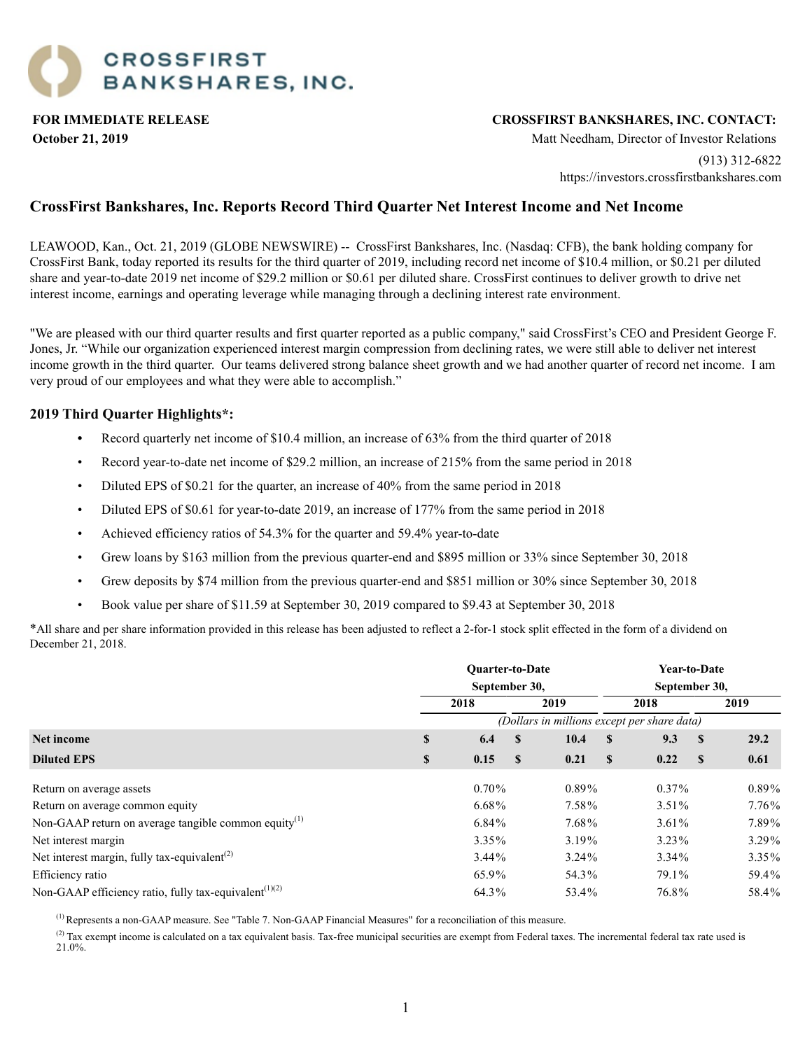### **FOR IMMEDIATE RELEASE CROSSFIRST BANKSHARES, INC. CONTACT:**

**October 21, 2019** Matt Needham, Director of Investor Relations

(913) 312-6822 https://investors.crossfirstbankshares.com

### **CrossFirst Bankshares, Inc. Reports Record Third Quarter Net Interest Income and Net Income**

LEAWOOD, Kan., Oct. 21, 2019 (GLOBE NEWSWIRE) -- CrossFirst Bankshares, Inc. (Nasdaq: CFB), the bank holding company for CrossFirst Bank, today reported its results for the third quarter of 2019, including record net income of \$10.4 million, or \$0.21 per diluted share and year-to-date 2019 net income of \$29.2 million or \$0.61 per diluted share. CrossFirst continues to deliver growth to drive net interest income, earnings and operating leverage while managing through a declining interest rate environment.

"We are pleased with our third quarter results and first quarter reported as a public company," said CrossFirst's CEO and President George F. Jones, Jr. "While our organization experienced interest margin compression from declining rates, we were still able to deliver net interest income growth in the third quarter. Our teams delivered strong balance sheet growth and we had another quarter of record net income. I am very proud of our employees and what they were able to accomplish."

### **2019 Third Quarter Highlights\*:**

- Record quarterly net income of \$10.4 million, an increase of 63% from the third quarter of 2018
- Record year-to-date net income of \$29.2 million, an increase of 215% from the same period in 2018
- Diluted EPS of \$0.21 for the quarter, an increase of 40% from the same period in 2018
- Diluted EPS of \$0.61 for year-to-date 2019, an increase of 177% from the same period in 2018
- Achieved efficiency ratios of 54.3% for the quarter and 59.4% year-to-date
- Grew loans by \$163 million from the previous quarter-end and \$895 million or 33% since September 30, 2018
- Grew deposits by \$74 million from the previous quarter-end and \$851 million or 30% since September 30, 2018
- Book value per share of \$11.59 at September 30, 2019 compared to \$9.43 at September 30, 2018

\*All share and per share information provided in this release has been adjusted to reflect a 2-for-1 stock split effected in the form of a dividend on December 21, 2018.

|                                                                                |                                             |          | Year-to-Date<br>September 30, |          |              |          |              |          |  |  |  |  |
|--------------------------------------------------------------------------------|---------------------------------------------|----------|-------------------------------|----------|--------------|----------|--------------|----------|--|--|--|--|
|                                                                                |                                             | 2018     |                               | 2019     |              | 2018     |              | 2019     |  |  |  |  |
|                                                                                | (Dollars in millions except per share data) |          |                               |          |              |          |              |          |  |  |  |  |
| Net income                                                                     | \$                                          | 6.4      | $\mathbf{s}$                  | 10.4     | S            | 9.3      | <sup>S</sup> | 29.2     |  |  |  |  |
| <b>Diluted EPS</b>                                                             | \$                                          | 0.15     | <sup>\$</sup>                 | 0.21     | <sup>S</sup> | 0.22     | - \$         | 0.61     |  |  |  |  |
| Return on average assets                                                       |                                             | $0.70\%$ |                               | $0.89\%$ |              | $0.37\%$ |              | $0.89\%$ |  |  |  |  |
| Return on average common equity                                                |                                             | $6.68\%$ |                               | 7.58%    |              | $3.51\%$ |              | 7.76%    |  |  |  |  |
| Non-GAAP return on average tangible common equity <sup>(1)</sup>               |                                             | $6.84\%$ |                               | 7.68%    |              | $3.61\%$ |              | 7.89%    |  |  |  |  |
| Net interest margin                                                            |                                             | $3.35\%$ |                               | 3.19%    |              | $3.23\%$ |              | 3.29%    |  |  |  |  |
| Net interest margin, fully tax-equivalent <sup>(2)</sup>                       |                                             | $3.44\%$ |                               | $3.24\%$ |              | $3.34\%$ |              | 3.35%    |  |  |  |  |
| Efficiency ratio                                                               |                                             | 65.9%    |                               | 54.3%    |              | 79.1%    |              | 59.4%    |  |  |  |  |
| Non-GAAP efficiency ratio, fully tax-equivalent <sup><math>(1)(2)</math></sup> |                                             | 64.3%    |                               | 53.4%    |              | 76.8%    |              | 58.4%    |  |  |  |  |

(1) Represents a non-GAAP measure. See "Table 7. Non-GAAP Financial Measures" for a reconciliation of this measure.

 $^{(2)}$  Tax exempt income is calculated on a tax equivalent basis. Tax-free municipal securities are exempt from Federal taxes. The incremental federal tax rate used is 21.0%.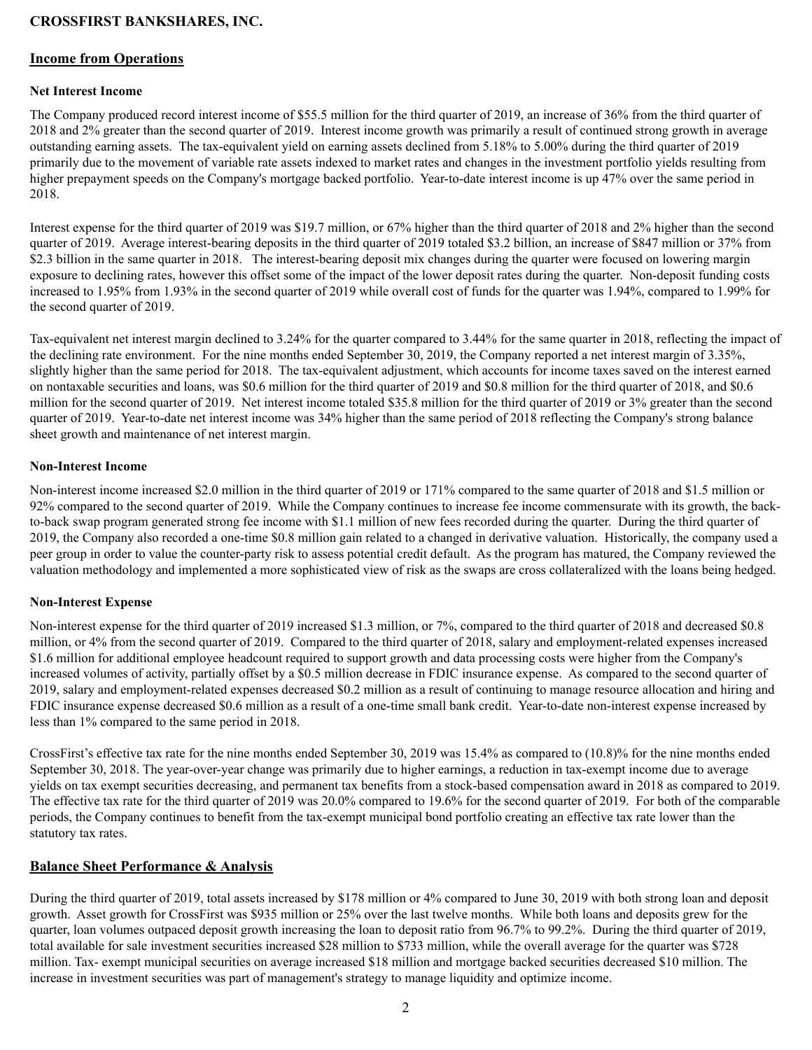#### **Income from Operations**

#### **Net Interest Income**

The Company produced record interest income of \$55.5 million for the third quarter of 2019, an increase of 36% from the third quarter of 2018 and 2% greater than the second quarter of 2019. Interest income growth was primarily a result of continued strong growth in average outstanding earning assets. The tax-equivalent yield on earning assets declined from 5.18% to 5.00% during the third quarter of 2019 primarily due to the movement of variable rate assets indexed to market rates and changes in the investment portfolio yields resulting from higher prepayment speeds on the Company's mortgage backed portfolio. Year-to-date interest income is up 47% over the same period in 2018.

Interest expense for the third quarter of 2019 was \$19.7 million, or 67% higher than the third quarter of 2018 and 2% higher than the second quarter of 2019. Average interest-bearing deposits in the third quarter of 2019 totaled \$3.2 billion, an increase of \$847 million or 37% from \$2.3 billion in the same quarter in 2018. The interest-bearing deposit mix changes during the quarter were focused on lowering margin exposure to declining rates, however this offset some of the impact of the lower deposit rates during the quarter. Non-deposit funding costs increased to 1.95% from 1.93% in the second quarter of 2019 while overall cost of funds for the quarter was 1.94%, compared to 1.99% for the second quarter of 2019.

Tax-equivalent net interest margin declined to 3.24% for the quarter compared to 3.44% for the same quarter in 2018, reflecting the impact of the declining rate environment. For the nine months ended September 30, 2019, the Company reported a net interest margin of 3.35%, slightly higher than the same period for 2018. The tax-equivalent adjustment, which accounts for income taxes saved on the interest earned on nontaxable securities and loans, was \$0.6 million for the third quarter of 2019 and \$0.8 million for the third quarter of 2018, and \$0.6 million for the second quarter of 2019. Net interest income totaled \$35.8 million for the third quarter of 2019 or 3% greater than the second quarter of 2019. Year-to-date net interest income was 34% higher than the same period of 2018 reflecting the Company's strong balance sheet growth and maintenance of net interest margin.

#### **Non-Interest Income**

Non-interest income increased \$2.0 million in the third quarter of 2019 or 171% compared to the same quarter of 2018 and \$1.5 million or 92% compared to the second quarter of 2019. While the Company continues to increase fee income commensurate with its growth, the backto-back swap program generated strong fee income with \$1.1 million of new fees recorded during the quarter. During the third quarter of 2019, the Company also recorded a one-time \$0.8 million gain related to a changed in derivative valuation. Historically, the company used a peer group in order to value the counter-party risk to assess potential credit default. As the program has matured, the Company reviewed the valuation methodology and implemented a more sophisticated view of risk as the swaps are cross collateralized with the loans being hedged.

#### **Non-Interest Expense**

Non-interest expense for the third quarter of 2019 increased \$1.3 million, or 7%, compared to the third quarter of 2018 and decreased \$0.8 million, or 4% from the second quarter of 2019. Compared to the third quarter of 2018, salary and employment-related expenses increased \$1.6 million for additional employee headcount required to support growth and data processing costs were higher from the Company's increased volumes of activity, partially offset by a \$0.5 million decrease in FDIC insurance expense. As compared to the second quarter of 2019, salary and employment-related expenses decreased \$0.2 million as a result of continuing to manage resource allocation and hiring and FDIC insurance expense decreased \$0.6 million as a result of a one-time small bank credit. Year-to-date non-interest expense increased by less than 1% compared to the same period in 2018.

CrossFirst's effective tax rate for the nine months ended September 30, 2019 was 15.4% as compared to (10.8)% for the nine months ended September 30, 2018. The year-over-year change was primarily due to higher earnings, a reduction in tax-exempt income due to average yields on tax exempt securities decreasing, and permanent tax benefits from a stock-based compensation award in 2018 as compared to 2019. The effective tax rate for the third quarter of 2019 was 20.0% compared to 19.6% for the second quarter of 2019. For both of the comparable periods, the Company continues to benefit from the tax-exempt municipal bond portfolio creating an effective tax rate lower than the statutory tax rates.

#### **Balance Sheet Performance & Analysis**

During the third quarter of 2019, total assets increased by \$178 million or 4% compared to June 30, 2019 with both strong loan and deposit growth. Asset growth for CrossFirst was \$935 million or 25% over the last twelve months. While both loans and deposits grew for the quarter, loan volumes outpaced deposit growth increasing the loan to deposit ratio from 96.7% to 99.2%. During the third quarter of 2019, total available for sale investment securities increased \$28 million to \$733 million, while the overall average for the quarter was \$728 million. Tax- exempt municipal securities on average increased \$18 million and mortgage backed securities decreased \$10 million. The increase in investment securities was part of management's strategy to manage liquidity and optimize income.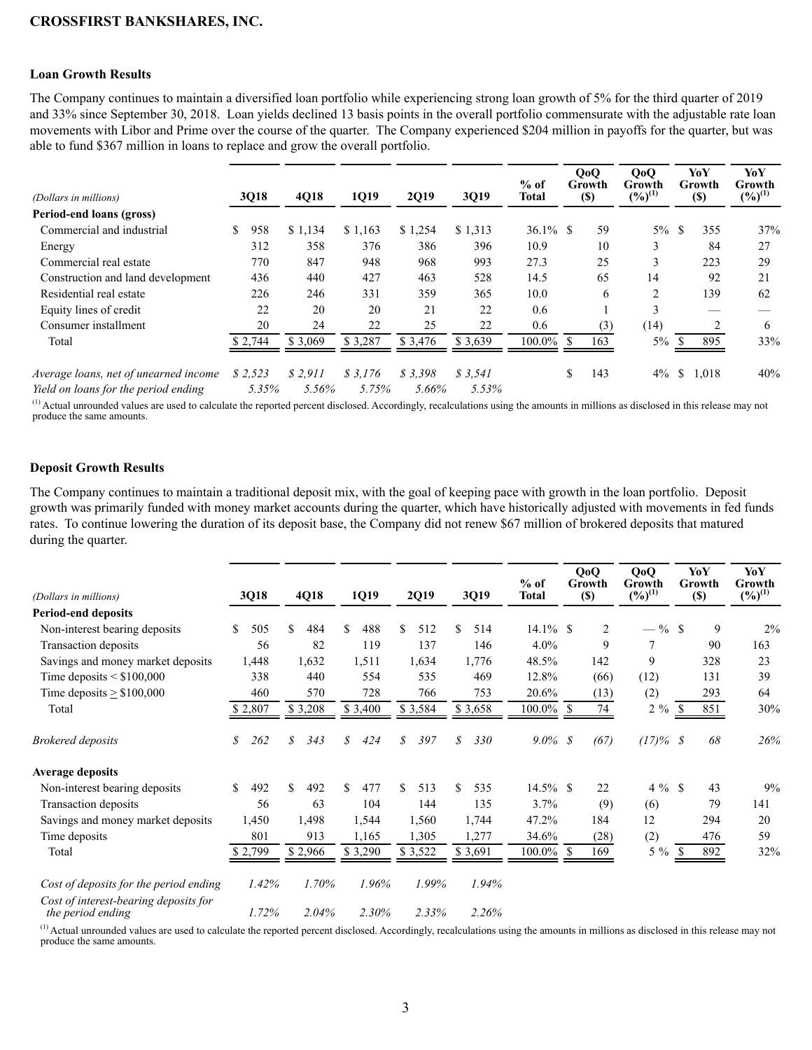#### **Loan Growth Results**

The Company continues to maintain a diversified loan portfolio while experiencing strong loan growth of 5% for the third quarter of 2019 and 33% since September 30, 2018. Loan yields declined 13 basis points in the overall portfolio commensurate with the adjustable rate loan movements with Libor and Prime over the course of the quarter. The Company experienced \$204 million in payoffs for the quarter, but was able to fund \$367 million in loans to replace and grow the overall portfolio.

| (Dollars in millions)                 | 3Q18      | 4Q18    | 1Q19    | <b>2Q19</b> | 3Q19    | $%$ of<br><b>Total</b> | QoQ<br>Growth<br>$(\$)$ | QoQ<br>Growth<br>$(%)^{(1)}$ | YoY<br>Growth<br><b>(\$)</b> | YoY<br>Growth<br>$(%)^{(1)}$ |
|---------------------------------------|-----------|---------|---------|-------------|---------|------------------------|-------------------------|------------------------------|------------------------------|------------------------------|
| Period-end loans (gross)              |           |         |         |             |         |                        |                         |                              |                              |                              |
| Commercial and industrial             | S.<br>958 | \$1,134 | \$1,163 | \$1,254     | \$1,313 | $36.1\%$ \$            | 59                      | $5\%$                        | 355<br>-S                    | 37%                          |
| Energy                                | 312       | 358     | 376     | 386         | 396     | 10.9                   | 10                      | 3                            | 84                           | 27                           |
| Commercial real estate                | 770       | 847     | 948     | 968         | 993     | 27.3                   | 25                      | 3                            | 223                          | 29                           |
| Construction and land development     | 436       | 440     | 427     | 463         | 528     | 14.5                   | 65                      | 14                           | 92                           | 21                           |
| Residential real estate               | 226       | 246     | 331     | 359         | 365     | 10.0                   | 6                       | 2                            | 139                          | 62                           |
| Equity lines of credit                | 22        | 20      | 20      | 21          | 22      | 0.6                    |                         | 3                            |                              |                              |
| Consumer installment                  | 20        | 24      | 22      | 25          | 22      | 0.6                    | (3)                     | (14)                         |                              | 6                            |
| Total                                 | \$2,744   | \$3,069 | \$3,287 | \$ 3.476    | \$3,639 | $100.0\%$ \$           | 163                     | $5\%$                        | 895<br>\$.                   | 33%                          |
| Average loans, net of unearned income | \$2,523   | \$2.911 | \$3.176 | \$3.398     | \$3.541 |                        | \$<br>143               | $4\%$                        | <sup>\$</sup><br>1,018       | 40%                          |
| Yield on loans for the period ending  | 5.35%     | 5.56%   | 5.75%   | 5.66%       | 5.53%   |                        |                         |                              |                              |                              |

<sup>(1)</sup> Actual unrounded values are used to calculate the reported percent disclosed. Accordingly, recalculations using the amounts in millions as disclosed in this release may not produce the same amounts.

#### **Deposit Growth Results**

The Company continues to maintain a traditional deposit mix, with the goal of keeping pace with growth in the loan portfolio. Deposit growth was primarily funded with money market accounts during the quarter, which have historically adjusted with movements in fed funds rates. To continue lowering the duration of its deposit base, the Company did not renew \$67 million of brokered deposits that matured during the quarter.

| (Dollars in millions)                                      | 3Q18      | 4Q18      | 1Q19      | 2Q19       | 3Q19      | $%$ of<br><b>Total</b> | QoQ<br>Growth<br>$(\$)$ | QoQ<br>Growth<br>$(\%)^{(1)}$ | YoY<br>Growth<br>$(\$)$ |     | YoY<br>Growth<br>$(\%)^{(1)}$ |
|------------------------------------------------------------|-----------|-----------|-----------|------------|-----------|------------------------|-------------------------|-------------------------------|-------------------------|-----|-------------------------------|
| <b>Period-end deposits</b>                                 |           |           |           |            |           |                        |                         |                               |                         |     |                               |
| Non-interest bearing deposits                              | \$<br>505 | \$<br>484 | \$<br>488 | \$<br>512  | \$<br>514 | $14.1\%$ \$            | $\overline{2}$          | $-$ % \$                      |                         | 9   | 2%                            |
| Transaction deposits                                       | 56        | 82        | 119       | 137        | 146       | 4.0%                   | 9                       |                               |                         | 90  | 163                           |
| Savings and money market deposits                          | 1,448     | 1,632     | 1,511     | 1,634      | 1,776     | 48.5%                  | 142                     | 9                             |                         | 328 | 23                            |
| Time deposits $\leq$ \$100,000                             | 338       | 440       | 554       | 535        | 469       | 12.8%                  | (66)                    | (12)                          |                         | 131 | 39                            |
| Time deposits $> $100,000$                                 | 460       | 570       | 728       | 766        | 753       | 20.6%                  | (13)                    | (2)                           |                         | 293 | 64                            |
| Total                                                      | \$2,807   | \$3,208   | \$3,400   | \$3,584    | \$3,658   | 100.0% \$              | 74                      | $2\%$                         | \$                      | 851 | 30%                           |
| <b>Brokered</b> deposits                                   | 262<br>\$ | \$<br>343 | \$<br>424 | \$<br>397  | S<br>330  | $9.0\% \;$ \$          | (67)                    | $(17)\%$ \$                   |                         | 68  | 26%                           |
| Average deposits                                           |           |           |           |            |           |                        |                         |                               |                         |     |                               |
| Non-interest bearing deposits                              | \$<br>492 | \$<br>492 | \$<br>477 | \$.<br>513 | \$<br>535 | $14.5\%$ \$            | 22                      | $4\%$ \$                      |                         | 43  | 9%                            |
| Transaction deposits                                       | 56        | 63        | 104       | 144        | 135       | 3.7%                   | (9)                     | (6)                           |                         | 79  | 141                           |
| Savings and money market deposits                          | 1,450     | 1,498     | 1,544     | 1,560      | 1,744     | 47.2%                  | 184                     | 12                            |                         | 294 | 20                            |
| Time deposits                                              | 801       | 913       | 1,165     | 1,305      | 1,277     | 34.6%                  | (28)                    | (2)                           |                         | 476 | 59                            |
| Total                                                      | \$2,799   | \$2,966   | \$3,290   | \$3,522    | 3,691     | 100.0%                 | 169<br>-S               | $5\%$                         | \$                      | 892 | 32%                           |
| Cost of deposits for the period ending                     | 1.42%     | 1.70%     | 1.96%     | 1.99%      | 1.94%     |                        |                         |                               |                         |     |                               |
| Cost of interest-bearing deposits for<br>the period ending | 1.72%     | 2.04%     | 2.30%     | 2.33%      | 2.26%     |                        |                         |                               |                         |     |                               |

<sup>(1)</sup> Actual unrounded values are used to calculate the reported percent disclosed. Accordingly, recalculations using the amounts in millions as disclosed in this release may not produce the same amounts.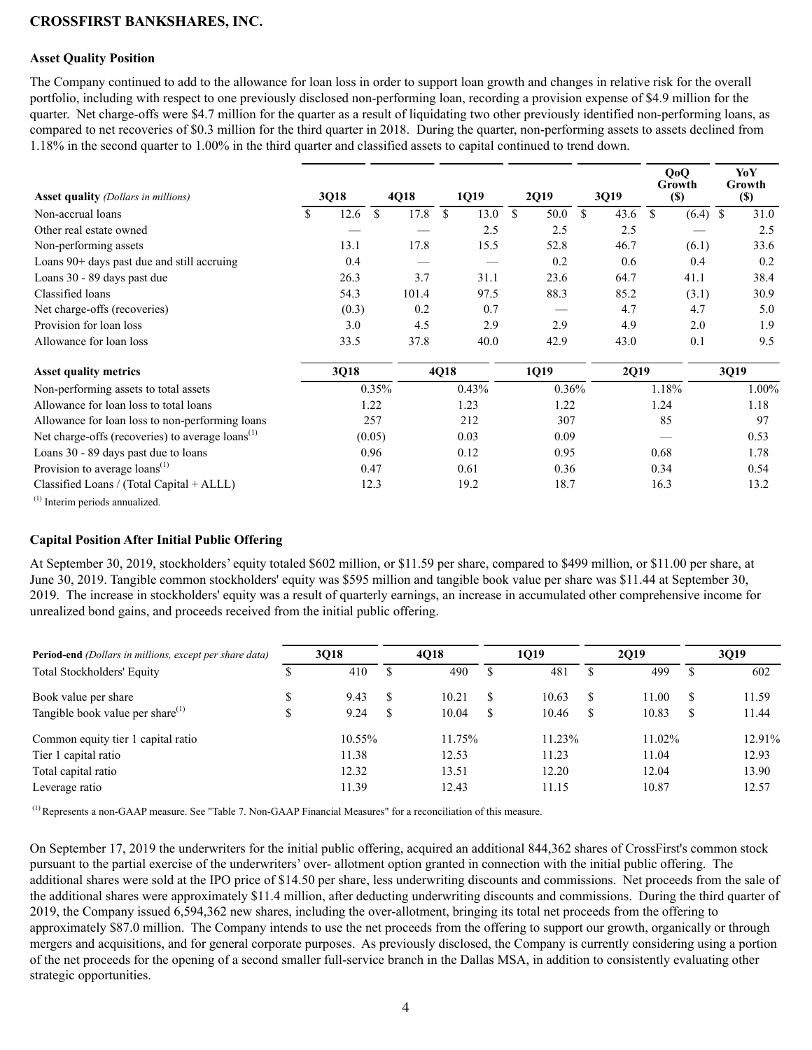#### **Asset Quality Position**

The Company continued to add to the allowance for loan loss in order to support loan growth and changes in relative risk for the overall portfolio, including with respect to one previously disclosed non-performing loan, recording a provision expense of \$4.9 million for the quarter. Net charge-offs were \$4.7 million for the quarter as a result of liquidating two other previously identified non-performing loans, as compared to net recoveries of \$0.3 million for the third quarter in 2018. During the quarter, non-performing assets to assets declined from 1.18% in the second quarter to 1.00% in the third quarter and classified assets to capital continued to trend down.

| <b>Asset quality</b> (Dollars in millions)                                                                                                                                                                                                                                                                                                                                                                      |   | 3Q18  |               | 4Q18  |      | 1Q19  |               | 2Q19  | 3Q19       | QoQ<br>Growth<br>$(\$)$ |            | YoY<br>Growth<br><b>(\$)</b> |
|-----------------------------------------------------------------------------------------------------------------------------------------------------------------------------------------------------------------------------------------------------------------------------------------------------------------------------------------------------------------------------------------------------------------|---|-------|---------------|-------|------|-------|---------------|-------|------------|-------------------------|------------|------------------------------|
| Non-accrual loans                                                                                                                                                                                                                                                                                                                                                                                               | S | 12.6  | <sup>\$</sup> | 17.8  | \$   | 13.0  | <sup>\$</sup> | 50.0  | \$<br>43.6 | \$                      | $(6.4)$ \$ | 31.0                         |
| Other real estate owned                                                                                                                                                                                                                                                                                                                                                                                         |   |       |               |       |      | 2.5   |               | 2.5   | 2.5        |                         |            | 2.5                          |
| Non-performing assets                                                                                                                                                                                                                                                                                                                                                                                           |   | 13.1  |               | 17.8  |      | 15.5  |               | 52.8  | 46.7       | (6.1)                   |            | 33.6                         |
| Loans 90+ days past due and still accruing                                                                                                                                                                                                                                                                                                                                                                      |   | 0.4   |               |       |      |       |               | 0.2   | 0.6        | 0.4                     |            | 0.2                          |
| Loans 30 - 89 days past due                                                                                                                                                                                                                                                                                                                                                                                     |   | 26.3  |               | 3.7   |      | 31.1  |               | 23.6  | 64.7       | 41.1                    |            | 38.4                         |
| Classified loans                                                                                                                                                                                                                                                                                                                                                                                                |   | 54.3  |               | 101.4 |      | 97.5  |               | 88.3  | 85.2       | (3.1)                   |            | 30.9                         |
| Net charge-offs (recoveries)                                                                                                                                                                                                                                                                                                                                                                                    |   | (0.3) |               | 0.2   |      | 0.7   |               |       | 4.7        | 4.7                     |            | 5.0                          |
| Provision for loan loss                                                                                                                                                                                                                                                                                                                                                                                         |   | 3.0   |               | 4.5   |      | 2.9   |               | 2.9   | 4.9        | 2.0                     |            | 1.9                          |
| Allowance for loan loss                                                                                                                                                                                                                                                                                                                                                                                         |   | 33.5  |               | 37.8  |      | 40.0  |               | 42.9  | 43.0       | 0.1                     |            | 9.5                          |
| <b>Asset quality metrics</b>                                                                                                                                                                                                                                                                                                                                                                                    |   | 3Q18  |               |       | 4Q18 |       |               | 1Q19  | 2Q19       |                         |            | 3Q19                         |
| Non-performing assets to total assets                                                                                                                                                                                                                                                                                                                                                                           |   |       | 0.35%         |       |      | 0.43% |               | 0.36% |            | 1.18%                   |            | 1.00%                        |
| Allowance for loan loss to total loans                                                                                                                                                                                                                                                                                                                                                                          |   |       | 1.22          |       |      | 1.23  |               | 1.22  |            | 1.24                    |            | 1.18                         |
| Allowance for loan loss to non-performing loans                                                                                                                                                                                                                                                                                                                                                                 |   |       | 257           |       |      | 212   |               | 307   |            | 85                      |            | 97                           |
| Net charge-offs (recoveries) to average loans <sup>(1)</sup>                                                                                                                                                                                                                                                                                                                                                    |   |       | (0.05)        |       |      | 0.03  |               | 0.09  |            |                         |            | 0.53                         |
| Loans 30 - 89 days past due to loans                                                                                                                                                                                                                                                                                                                                                                            |   |       | 0.96          |       |      | 0.12  |               | 0.95  |            | 0.68                    |            | 1.78                         |
| Provision to average loans <sup>(1)</sup>                                                                                                                                                                                                                                                                                                                                                                       |   |       | 0.47          |       |      | 0.61  |               | 0.36  |            | 0.34                    |            | 0.54                         |
| Classified Loans / (Total Capital + ALLL)                                                                                                                                                                                                                                                                                                                                                                       |   |       | 12.3          |       |      | 19.2  |               | 18.7  |            | 16.3                    |            | 13.2                         |
| $(1)$ $\rightarrow$ $(1)$ $\rightarrow$ $(1)$ $\rightarrow$ $(1)$ $\rightarrow$ $(1)$ $\rightarrow$ $(1)$ $\rightarrow$ $(1)$ $\rightarrow$ $(1)$ $\rightarrow$ $(1)$ $\rightarrow$ $(1)$ $\rightarrow$ $(1)$ $\rightarrow$ $(1)$ $\rightarrow$ $(1)$ $\rightarrow$ $(1)$ $\rightarrow$ $(1)$ $\rightarrow$ $(1)$ $\rightarrow$ $(1)$ $\rightarrow$ $(1)$ $\rightarrow$ $(1)$ $\rightarrow$ $(1)$ $\rightarrow$ |   |       |               |       |      |       |               |       |            |                         |            |                              |

(1) Interim periods annualized.

#### **Capital Position After Initial Public Offering**

At September 30, 2019, stockholders' equity totaled \$602 million, or \$11.59 per share, compared to \$499 million, or \$11.00 per share, at June 30, 2019. Tangible common stockholders' equity was \$595 million and tangible book value per share was \$11.44 at September 30, 2019. The increase in stockholders' equity was a result of quarterly earnings, an increase in accumulated other comprehensive income for unrealized bond gains, and proceeds received from the initial public offering.

| <b>Period-end</b> (Dollars in millions, except per share data) | 3018      |               | <b>4018</b> |    | 1019   |               | 2019   |    | 3019   |
|----------------------------------------------------------------|-----------|---------------|-------------|----|--------|---------------|--------|----|--------|
| <b>Total Stockholders' Equity</b>                              | 410       | <sup>\$</sup> | 490         |    | 481    | <sup>\$</sup> | 499    | S  | 602    |
| Book value per share                                           | 9.43      | <sup>S</sup>  | 10.21       | -S | 10.63  | \$.           | 11.00  | \$ | 11.59  |
| Tangible book value per share $^{(1)}$                         | 9.24      | <sup>S</sup>  | 10.04       | S  | 10.46  | S.            | 10.83  | S  | 11.44  |
| Common equity tier 1 capital ratio                             | $10.55\%$ |               | 11.75%      |    | 11.23% |               | 11.02% |    | 12.91% |
| Tier 1 capital ratio                                           | 11.38     |               | 12.53       |    | 11.23  |               | 11.04  |    | 12.93  |
| Total capital ratio                                            | 12.32     |               | 13.51       |    | 12.20  |               | 12.04  |    | 13.90  |
| Leverage ratio                                                 | 11.39     |               | 12.43       |    | 11.15  |               | 10.87  |    | 12.57  |

(1) Represents a non-GAAP measure. See "Table 7. Non-GAAP Financial Measures" for a reconciliation of this measure.

On September 17, 2019 the underwriters for the initial public offering, acquired an additional 844,362 shares of CrossFirst's common stock pursuant to the partial exercise of the underwriters' over- allotment option granted in connection with the initial public offering. The additional shares were sold at the IPO price of \$14.50 per share, less underwriting discounts and commissions. Net proceeds from the sale of the additional shares were approximately \$11.4 million, after deducting underwriting discounts and commissions. During the third quarter of 2019, the Company issued 6,594,362 new shares, including the over-allotment, bringing its total net proceeds from the offering to approximately \$87.0 million. The Company intends to use the net proceeds from the offering to support our growth, organically or through mergers and acquisitions, and for general corporate purposes. As previously disclosed, the Company is currently considering using a portion of the net proceeds for the opening of a second smaller full-service branch in the Dallas MSA, in addition to consistently evaluating other strategic opportunities.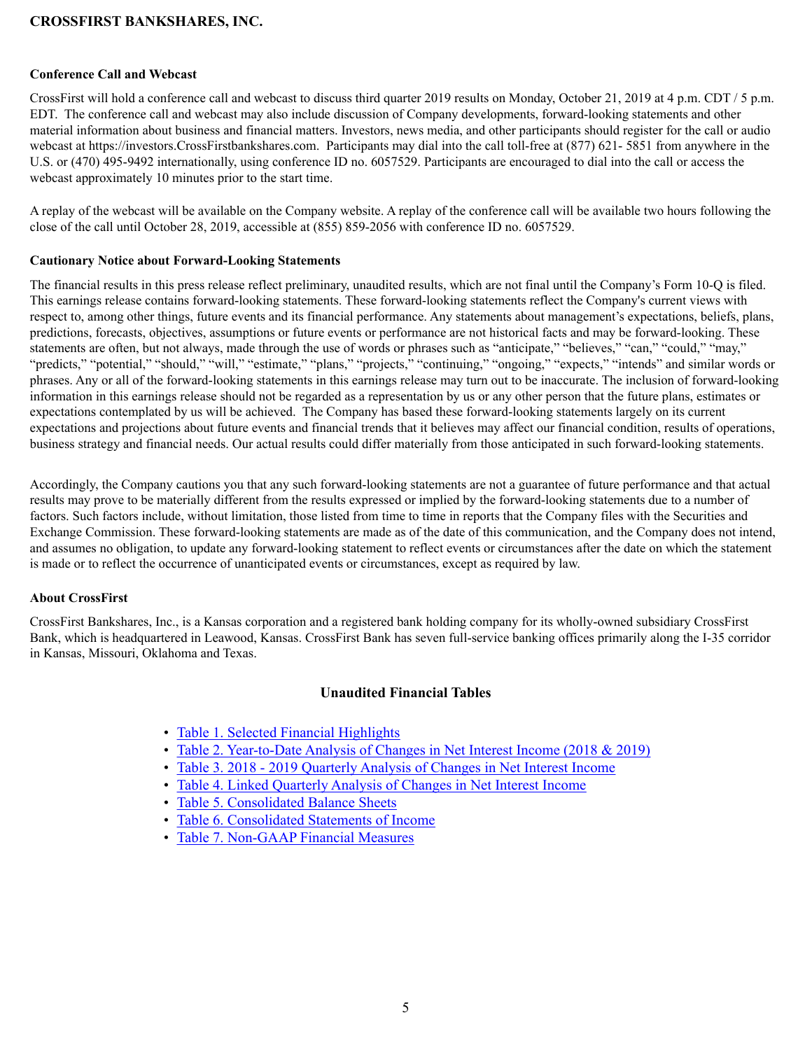#### **Conference Call and Webcast**

CrossFirst will hold a conference call and webcast to discuss third quarter 2019 results on Monday, October 21, 2019 at 4 p.m. CDT / 5 p.m. EDT. The conference call and webcast may also include discussion of Company developments, forward-looking statements and other material information about business and financial matters. Investors, news media, and other participants should register for the call or audio webcast at https://investors.CrossFirstbankshares.com. Participants may dial into the call toll-free at (877) 621- 5851 from anywhere in the U.S. or (470) 495-9492 internationally, using conference ID no. 6057529. Participants are encouraged to dial into the call or access the webcast approximately 10 minutes prior to the start time.

A replay of the webcast will be available on the Company website. A replay of the conference call will be available two hours following the close of the call until October 28, 2019, accessible at (855) 859-2056 with conference ID no. 6057529.

#### **Cautionary Notice about Forward-Looking Statements**

The financial results in this press release reflect preliminary, unaudited results, which are not final until the Company's Form 10-Q is filed. This earnings release contains forward-looking statements. These forward-looking statements reflect the Company's current views with respect to, among other things, future events and its financial performance. Any statements about management's expectations, beliefs, plans, predictions, forecasts, objectives, assumptions or future events or performance are not historical facts and may be forward-looking. These statements are often, but not always, made through the use of words or phrases such as "anticipate," "believes," "can," "could," "may," "predicts," "potential," "should," "will," "estimate," "plans," "projects," "continuing," "ongoing," "expects," "intends" and similar words or phrases. Any or all of the forward-looking statements in this earnings release may turn out to be inaccurate. The inclusion of forward-looking information in this earnings release should not be regarded as a representation by us or any other person that the future plans, estimates or expectations contemplated by us will be achieved. The Company has based these forward-looking statements largely on its current expectations and projections about future events and financial trends that it believes may affect our financial condition, results of operations, business strategy and financial needs. Our actual results could differ materially from those anticipated in such forward-looking statements.

Accordingly, the Company cautions you that any such forward-looking statements are not a guarantee of future performance and that actual results may prove to be materially different from the results expressed or implied by the forward-looking statements due to a number of factors. Such factors include, without limitation, those listed from time to time in reports that the Company files with the Securities and Exchange Commission. These forward-looking statements are made as of the date of this communication, and the Company does not intend, and assumes no obligation, to update any forward-looking statement to reflect events or circumstances after the date on which the statement is made or to reflect the occurrence of unanticipated events or circumstances, except as required by law.

#### **About CrossFirst**

CrossFirst Bankshares, Inc., is a Kansas corporation and a registered bank holding company for its wholly-owned subsidiary CrossFirst Bank, which is headquartered in Leawood, Kansas. CrossFirst Bank has seven full-service banking offices primarily along the I-35 corridor in Kansas, Missouri, Oklahoma and Texas.

### **Unaudited Financial Tables**

- [Table 1. Selected Financial Highlights](#page-5-0)
- [Table 2. Year-to-Date Analysis of Changes in Net Interest Income \(2018 & 2019\)](#page-7-0)
- [Table 3. 2018 2019 Quarterly Analysis of Changes in Net Interest Income](#page-9-0)
- [Table 4. Linked Quarterly Analysis of Changes in Net Interest Income](#page-11-0)
- [Table 5. Consolidated Balance Sheets](#page-13-0)
- [Table 6. Consolidated Statements of Income](#page-14-0)
- [Table 7. Non-GAAP Financial Measures](#page-15-0)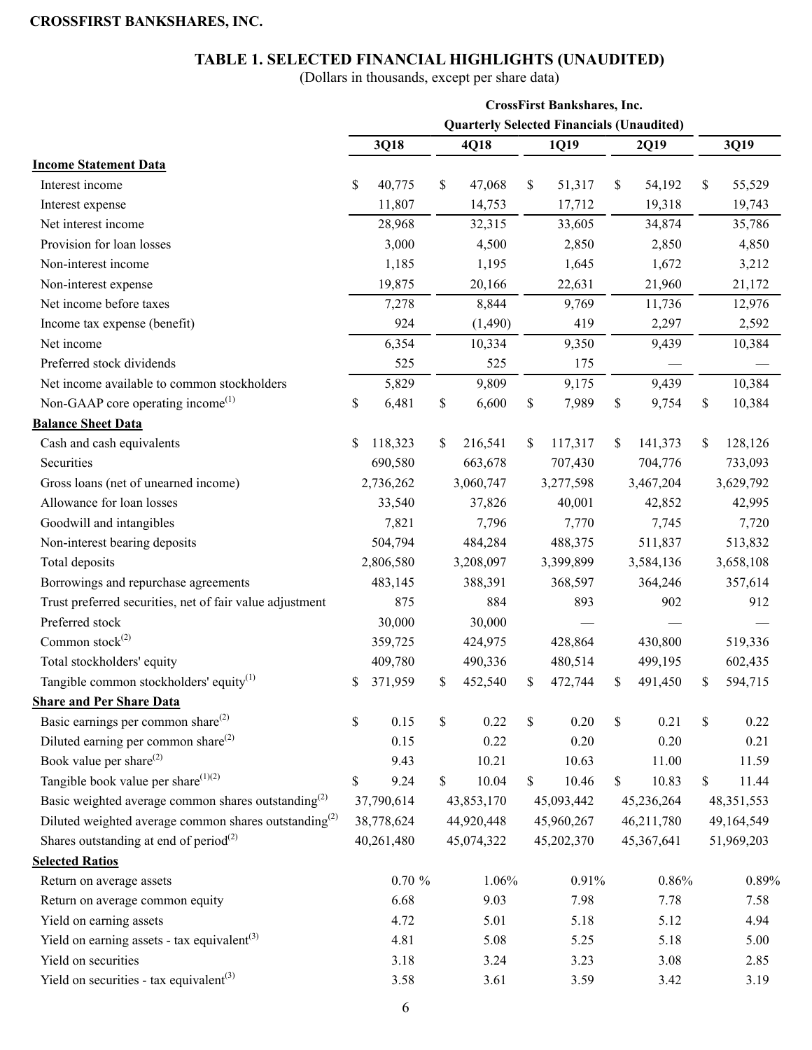### **TABLE 1. SELECTED FINANCIAL HIGHLIGHTS (UNAUDITED)**

(Dollars in thousands, except per share data)

<span id="page-5-0"></span>

|                                                                 |               |               | <b>CrossFirst Bankshares, Inc.</b>               |    |            |               |
|-----------------------------------------------------------------|---------------|---------------|--------------------------------------------------|----|------------|---------------|
|                                                                 |               |               | <b>Quarterly Selected Financials (Unaudited)</b> |    |            |               |
|                                                                 | 3Q18          | 4Q18          | 1Q19                                             |    | 2Q19       | 3Q19          |
| <b>Income Statement Data</b>                                    |               |               |                                                  |    |            |               |
| Interest income                                                 | \$<br>40,775  | \$<br>47,068  | \$<br>51,317                                     | \$ | 54,192     | \$<br>55,529  |
| Interest expense                                                | 11,807        | 14,753        | 17,712                                           |    | 19,318     | 19,743        |
| Net interest income                                             | 28,968        | 32,315        | 33,605                                           |    | 34,874     | 35,786        |
| Provision for loan losses                                       | 3,000         | 4,500         | 2,850                                            |    | 2,850      | 4,850         |
| Non-interest income                                             | 1,185         | 1,195         | 1,645                                            |    | 1,672      | 3,212         |
| Non-interest expense                                            | 19,875        | 20,166        | 22,631                                           |    | 21,960     | 21,172        |
| Net income before taxes                                         | 7,278         | 8,844         | 9,769                                            |    | 11,736     | 12,976        |
| Income tax expense (benefit)                                    | 924           | (1,490)       | 419                                              |    | 2,297      | 2,592         |
| Net income                                                      | 6,354         | 10,334        | 9,350                                            |    | 9,439      | 10,384        |
| Preferred stock dividends                                       | 525           | 525           | 175                                              |    |            |               |
| Net income available to common stockholders                     | 5,829         | 9,809         | 9,175                                            |    | 9,439      | 10,384        |
| Non-GAAP core operating income <sup><math>(1)</math></sup>      | \$<br>6,481   | \$<br>6,600   | \$<br>7,989                                      | \$ | 9,754      | \$<br>10,384  |
| <b>Balance Sheet Data</b>                                       |               |               |                                                  |    |            |               |
| Cash and cash equivalents                                       | \$<br>118,323 | \$<br>216,541 | \$<br>117,317                                    | S  | 141,373    | \$<br>128,126 |
| Securities                                                      | 690,580       | 663,678       | 707,430                                          |    | 704,776    | 733,093       |
| Gross loans (net of unearned income)                            | 2,736,262     | 3,060,747     | 3,277,598                                        |    | 3,467,204  | 3,629,792     |
| Allowance for loan losses                                       | 33,540        | 37,826        | 40,001                                           |    | 42,852     | 42,995        |
| Goodwill and intangibles                                        | 7,821         | 7,796         | 7,770                                            |    | 7,745      | 7,720         |
| Non-interest bearing deposits                                   | 504,794       | 484,284       | 488,375                                          |    | 511,837    | 513,832       |
| Total deposits                                                  | 2,806,580     | 3,208,097     | 3,399,899                                        |    | 3,584,136  | 3,658,108     |
| Borrowings and repurchase agreements                            | 483,145       | 388,391       | 368,597                                          |    | 364,246    | 357,614       |
| Trust preferred securities, net of fair value adjustment        | 875           | 884           | 893                                              |    | 902        | 912           |
| Preferred stock                                                 | 30,000        | 30,000        |                                                  |    |            |               |
| Common stock $(2)$                                              | 359,725       | 424,975       | 428,864                                          |    | 430,800    | 519,336       |
| Total stockholders' equity                                      | 409,780       | 490,336       | 480,514                                          |    | 499,195    | 602,435       |
| Tangible common stockholders' equity <sup>(1)</sup>             | \$<br>371,959 | \$<br>452,540 | \$<br>472,744                                    | \$ | 491,450    | \$<br>594,715 |
| <b>Share and Per Share Data</b>                                 |               |               |                                                  |    |            |               |
| Basic earnings per common share $^{(2)}$                        | \$<br>0.15    | \$<br>0.22    | \$<br>0.20                                       | \$ | 0.21       | \$<br>0.22    |
| Diluted earning per common share $^{(2)}$                       | 0.15          | 0.22          | 0.20                                             |    | 0.20       | 0.21          |
| Book value per share <sup>(2)</sup>                             | 9.43          | 10.21         | 10.63                                            |    | 11.00      | 11.59         |
| Tangible book value per share $(1)(2)$                          | \$<br>9.24    | \$<br>10.04   | \$<br>10.46                                      | \$ | 10.83      | \$<br>11.44   |
| Basic weighted average common shares outstanding <sup>(2)</sup> | 37,790,614    | 43,853,170    | 45,093,442                                       |    | 45,236,264 | 48, 351, 553  |
| Diluted weighted average common shares outstanding $^{(2)}$     | 38,778,624    | 44,920,448    | 45,960,267                                       |    | 46,211,780 | 49,164,549    |
| Shares outstanding at end of period <sup>(2)</sup>              | 40,261,480    | 45,074,322    | 45,202,370                                       |    | 45,367,641 | 51,969,203    |
| <b>Selected Ratios</b>                                          |               |               |                                                  |    |            |               |
| Return on average assets                                        | $0.70 \%$     | 1.06%         | 0.91%                                            |    | 0.86%      | 0.89%         |
| Return on average common equity                                 | 6.68          | 9.03          | 7.98                                             |    | 7.78       | 7.58          |
| Yield on earning assets                                         | 4.72          | 5.01          | 5.18                                             |    | 5.12       | 4.94          |
| Yield on earning assets - tax equivalent <sup>(3)</sup>         | 4.81          | 5.08          | 5.25                                             |    | 5.18       | 5.00          |
| Yield on securities                                             | 3.18          | 3.24          | 3.23                                             |    | 3.08       | 2.85          |
| Yield on securities - tax equivalent <sup>(3)</sup>             | 3.58          | 3.61          | 3.59                                             |    | 3.42       | 3.19          |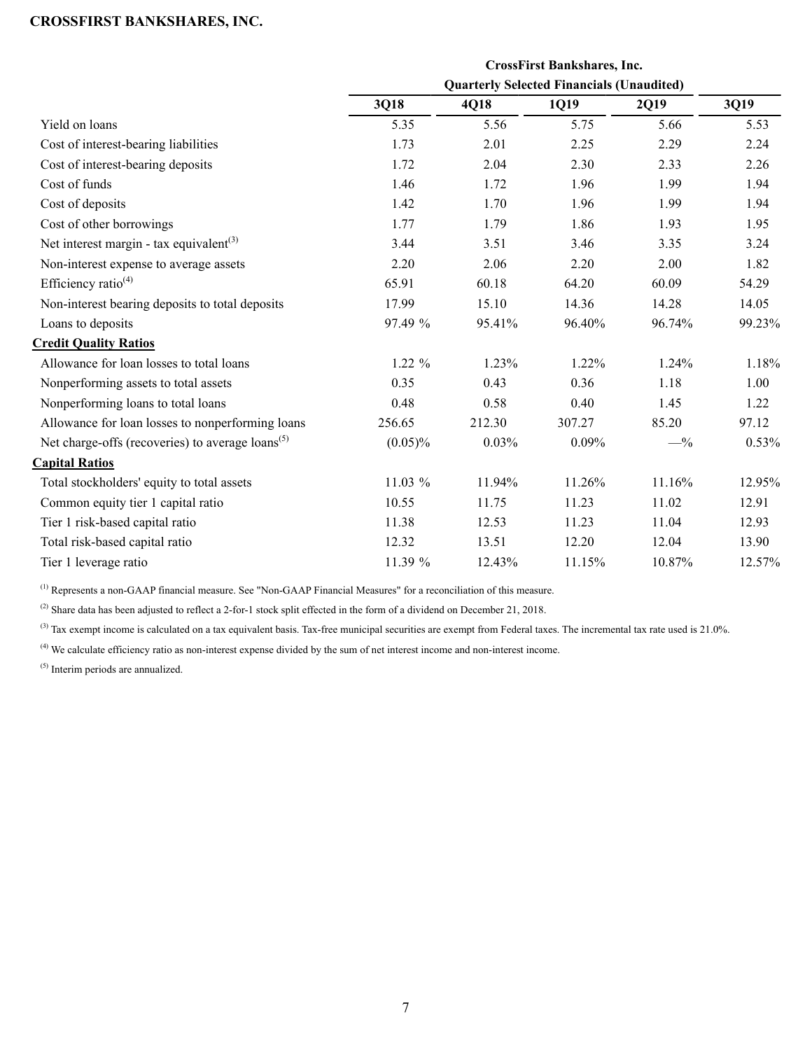|                                                              |            |        | <b>CrossFirst Bankshares, Inc.</b>               |          |        |
|--------------------------------------------------------------|------------|--------|--------------------------------------------------|----------|--------|
|                                                              |            |        | <b>Quarterly Selected Financials (Unaudited)</b> |          |        |
|                                                              | 3Q18       | 4Q18   | 1Q19                                             | 2Q19     | 3Q19   |
| Yield on loans                                               | 5.35       | 5.56   | 5.75                                             | 5.66     | 5.53   |
| Cost of interest-bearing liabilities                         | 1.73       | 2.01   | 2.25                                             | 2.29     | 2.24   |
| Cost of interest-bearing deposits                            | 1.72       | 2.04   | 2.30                                             | 2.33     | 2.26   |
| Cost of funds                                                | 1.46       | 1.72   | 1.96                                             | 1.99     | 1.94   |
| Cost of deposits                                             | 1.42       | 1.70   | 1.96                                             | 1.99     | 1.94   |
| Cost of other borrowings                                     | 1.77       | 1.79   | 1.86                                             | 1.93     | 1.95   |
| Net interest margin - tax equivalent <sup>(3)</sup>          | 3.44       | 3.51   | 3.46                                             | 3.35     | 3.24   |
| Non-interest expense to average assets                       | 2.20       | 2.06   | 2.20                                             | 2.00     | 1.82   |
| Efficiency ratio <sup>(4)</sup>                              | 65.91      | 60.18  | 64.20                                            | 60.09    | 54.29  |
| Non-interest bearing deposits to total deposits              | 17.99      | 15.10  | 14.36                                            | 14.28    | 14.05  |
| Loans to deposits                                            | 97.49 %    | 95.41% | 96.40%                                           | 96.74%   | 99.23% |
| <b>Credit Quality Ratios</b>                                 |            |        |                                                  |          |        |
| Allowance for loan losses to total loans                     | $1.22 \%$  | 1.23%  | 1.22%                                            | $1.24\%$ | 1.18%  |
| Nonperforming assets to total assets                         | 0.35       | 0.43   | 0.36                                             | 1.18     | 1.00   |
| Nonperforming loans to total loans                           | 0.48       | 0.58   | 0.40                                             | 1.45     | 1.22   |
| Allowance for loan losses to nonperforming loans             | 256.65     | 212.30 | 307.27                                           | 85.20    | 97.12  |
| Net charge-offs (recoveries) to average loans <sup>(5)</sup> | $(0.05)\%$ | 0.03%  | 0.09%                                            | $-$ %    | 0.53%  |
| <b>Capital Ratios</b>                                        |            |        |                                                  |          |        |
| Total stockholders' equity to total assets                   | 11.03 %    | 11.94% | 11.26%                                           | 11.16%   | 12.95% |
| Common equity tier 1 capital ratio                           | 10.55      | 11.75  | 11.23                                            | 11.02    | 12.91  |
| Tier 1 risk-based capital ratio                              | 11.38      | 12.53  | 11.23                                            | 11.04    | 12.93  |
| Total risk-based capital ratio                               | 12.32      | 13.51  | 12.20                                            | 12.04    | 13.90  |
| Tier 1 leverage ratio                                        | 11.39 %    | 12.43% | 11.15%                                           | 10.87%   | 12.57% |

(1) Represents a non-GAAP financial measure. See "Non-GAAP Financial Measures" for a reconciliation of this measure.

 $^{(2)}$  Share data has been adjusted to reflect a 2-for-1 stock split effected in the form of a dividend on December 21, 2018.

 $^{(3)}$  Tax exempt income is calculated on a tax equivalent basis. Tax-free municipal securities are exempt from Federal taxes. The incremental tax rate used is  $21.0\%$ .

(4) We calculate efficiency ratio as non-interest expense divided by the sum of net interest income and non-interest income.

(5) Interim periods are annualized.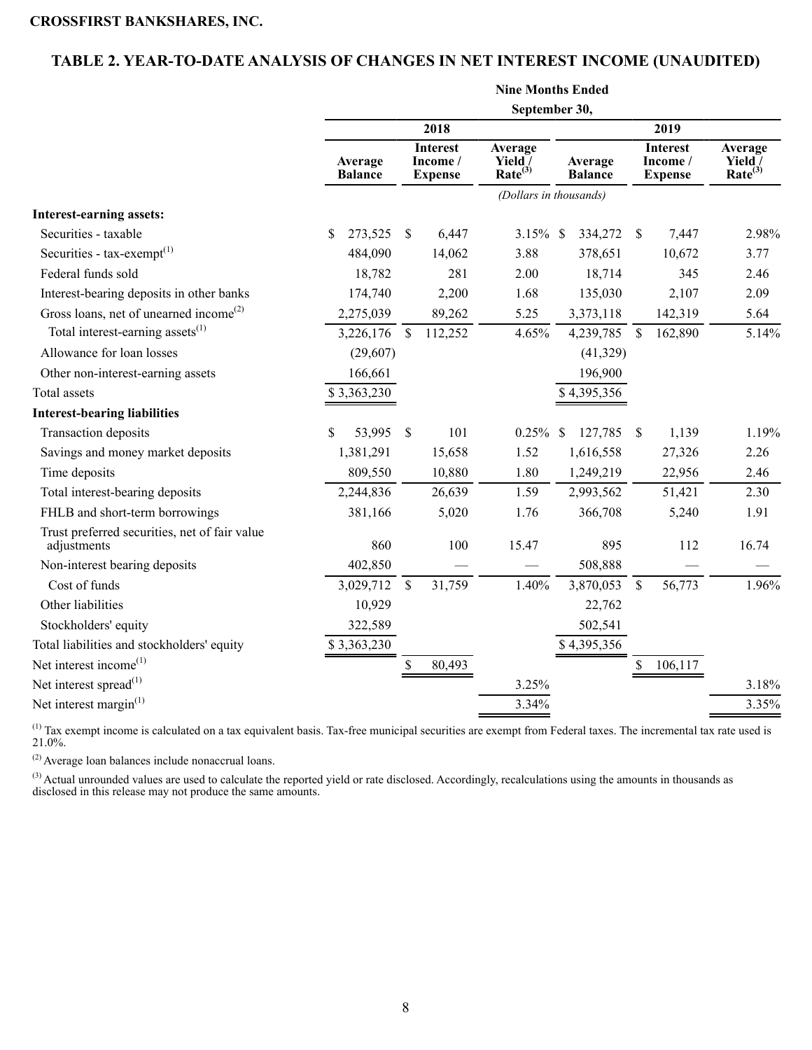# <span id="page-7-0"></span>**TABLE 2. YEAR-TO-DATE ANALYSIS OF CHANGES IN NET INTEREST INCOME (UNAUDITED)**

|                                                              |                           |               |                                               | <b>Nine Months Ended</b>                  |                           |               |                                               |                                           |
|--------------------------------------------------------------|---------------------------|---------------|-----------------------------------------------|-------------------------------------------|---------------------------|---------------|-----------------------------------------------|-------------------------------------------|
|                                                              |                           |               |                                               | September 30,                             |                           |               |                                               |                                           |
|                                                              |                           |               | 2018                                          |                                           |                           |               | 2019                                          |                                           |
|                                                              | Average<br><b>Balance</b> |               | <b>Interest</b><br>Income /<br><b>Expense</b> | Average<br>Yield /<br>Rate <sup>(3)</sup> | Average<br><b>Balance</b> |               | <b>Interest</b><br>Income /<br><b>Expense</b> | Average<br>Yield /<br>Rate <sup>(3)</sup> |
|                                                              |                           |               |                                               | (Dollars in thousands)                    |                           |               |                                               |                                           |
| <b>Interest-earning assets:</b>                              |                           |               |                                               |                                           |                           |               |                                               |                                           |
| Securities - taxable                                         | 273,525<br>S              | $\sqrt{\ }$   | 6,447                                         | $3.15\%$ \$                               | 334,272                   | - \$          | 7,447                                         | 2.98%                                     |
| Securities - $tax\text{-}exempt^{(1)}$                       | 484,090                   |               | 14,062                                        | 3.88                                      | 378,651                   |               | 10,672                                        | 3.77                                      |
| Federal funds sold                                           | 18,782                    |               | 281                                           | 2.00                                      | 18,714                    |               | 345                                           | 2.46                                      |
| Interest-bearing deposits in other banks                     | 174,740                   |               | 2,200                                         | 1.68                                      | 135,030                   |               | 2,107                                         | 2.09                                      |
| Gross loans, net of unearned income <sup>(2)</sup>           | 2,275,039                 |               | 89,262                                        | 5.25                                      | 3,373,118                 |               | 142,319                                       | 5.64                                      |
| Total interest-earning assets <sup>(1)</sup>                 | 3,226,176                 | \$            | 112,252                                       | 4.65%                                     | 4,239,785                 | $\mathcal{S}$ | 162,890                                       | 5.14%                                     |
| Allowance for loan losses                                    | (29,607)                  |               |                                               |                                           | (41, 329)                 |               |                                               |                                           |
| Other non-interest-earning assets                            | 166,661                   |               |                                               |                                           | 196,900                   |               |                                               |                                           |
| Total assets                                                 | \$3,363,230               |               |                                               |                                           | \$4,395,356               |               |                                               |                                           |
| <b>Interest-bearing liabilities</b>                          |                           |               |                                               |                                           |                           |               |                                               |                                           |
| Transaction deposits                                         | 53,995                    | $\sqrt{\ }$   | 101                                           | $0.25\%$ \$                               | 127,785                   | $\mathbb{S}$  | 1,139                                         | 1.19%                                     |
| Savings and money market deposits                            | 1,381,291                 |               | 15,658                                        | 1.52                                      | 1,616,558                 |               | 27,326                                        | 2.26                                      |
| Time deposits                                                | 809,550                   |               | 10,880                                        | 1.80                                      | 1,249,219                 |               | 22,956                                        | 2.46                                      |
| Total interest-bearing deposits                              | 2,244,836                 |               | 26,639                                        | 1.59                                      | 2,993,562                 |               | 51,421                                        | 2.30                                      |
| FHLB and short-term borrowings                               | 381,166                   |               | 5,020                                         | 1.76                                      | 366,708                   |               | 5,240                                         | 1.91                                      |
| Trust preferred securities, net of fair value<br>adjustments | 860                       |               | 100                                           | 15.47                                     | 895                       |               | 112                                           | 16.74                                     |
| Non-interest bearing deposits                                | 402,850                   |               |                                               |                                           | 508,888                   |               |                                               |                                           |
| Cost of funds                                                | 3,029,712                 | $\mathsf{\$}$ | 31,759                                        | 1.40%                                     | 3,870,053                 | $\mathcal{S}$ | 56,773                                        | 1.96%                                     |
| Other liabilities                                            | 10,929                    |               |                                               |                                           | 22,762                    |               |                                               |                                           |
| Stockholders' equity                                         | 322,589                   |               |                                               |                                           | 502,541                   |               |                                               |                                           |
| Total liabilities and stockholders' equity                   | \$3,363,230               |               |                                               |                                           | \$4,395,356               |               |                                               |                                           |
| Net interest income $(1)$                                    |                           | \$            | 80,493                                        |                                           |                           | \$            | 106,117                                       |                                           |
| Net interest spread <sup>(1)</sup>                           |                           |               |                                               | 3.25%                                     |                           |               |                                               | 3.18%                                     |
| Net interest margin $(1)$                                    |                           |               |                                               | 3.34%                                     |                           |               |                                               | 3.35%                                     |

 $<sup>(1)</sup>$  Tax exempt income is calculated on a tax equivalent basis. Tax-free municipal securities are exempt from Federal taxes. The incremental tax rate used is</sup> 21.0%.

(2) Average loan balances include nonaccrual loans.

 $^{(3)}$  Actual unrounded values are used to calculate the reported yield or rate disclosed. Accordingly, recalculations using the amounts in thousands as disclosed in this release may not produce the same amounts.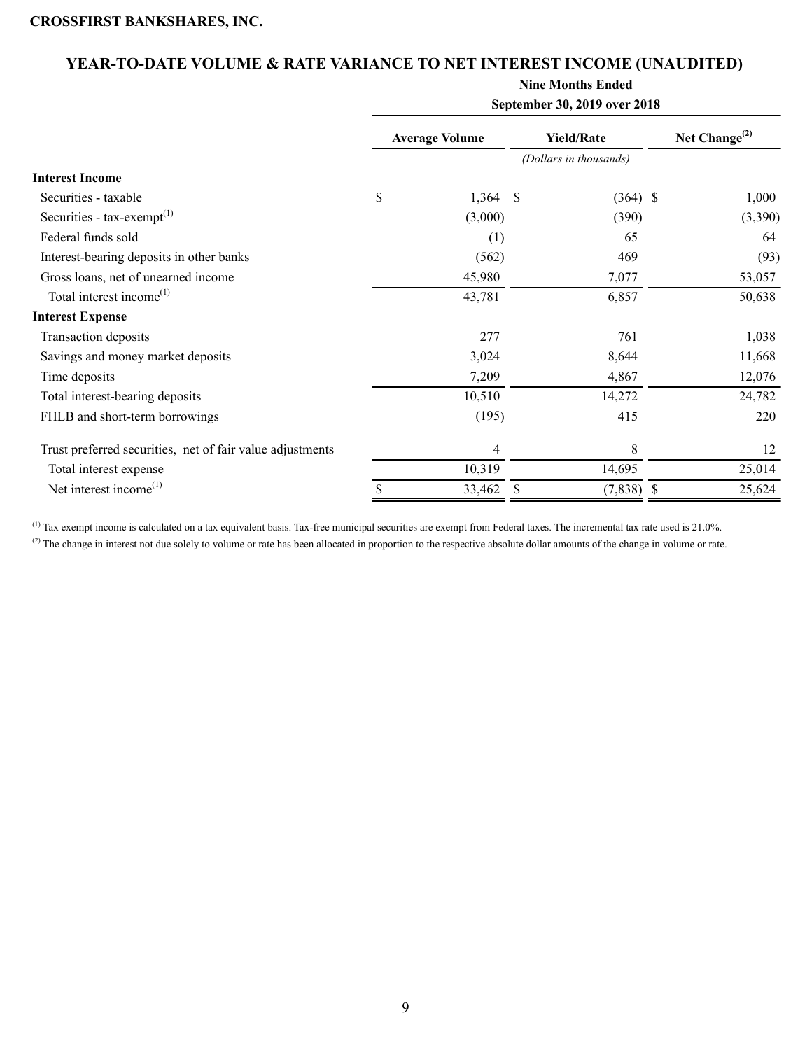# **YEAR-TO-DATE VOLUME & RATE VARIANCE TO NET INTEREST INCOME (UNAUDITED)**

**Nine Months Ended**

| September 30, 2019 over 2018 |         |                       |        |                                             |                            |  |  |  |  |
|------------------------------|---------|-----------------------|--------|---------------------------------------------|----------------------------|--|--|--|--|
|                              |         |                       |        |                                             | Net Change <sup>(2)</sup>  |  |  |  |  |
|                              |         |                       |        |                                             |                            |  |  |  |  |
|                              |         |                       |        |                                             |                            |  |  |  |  |
| \$                           |         | -\$                   |        |                                             | 1,000                      |  |  |  |  |
|                              | (3,000) |                       | (390)  |                                             | (3,390)                    |  |  |  |  |
|                              | (1)     |                       | 65     |                                             | 64                         |  |  |  |  |
|                              | (562)   |                       | 469    |                                             | (93)                       |  |  |  |  |
|                              | 45,980  |                       | 7,077  |                                             | 53,057                     |  |  |  |  |
|                              | 43,781  |                       | 6,857  |                                             | 50,638                     |  |  |  |  |
|                              |         |                       |        |                                             |                            |  |  |  |  |
|                              | 277     |                       | 761    |                                             | 1,038                      |  |  |  |  |
|                              | 3,024   |                       | 8,644  |                                             | 11,668                     |  |  |  |  |
|                              | 7,209   |                       | 4,867  |                                             | 12,076                     |  |  |  |  |
|                              | 10,510  |                       | 14,272 |                                             | 24,782                     |  |  |  |  |
|                              | (195)   |                       | 415    |                                             | 220                        |  |  |  |  |
|                              | 4       |                       | 8      |                                             | 12                         |  |  |  |  |
|                              | 10,319  |                       | 14,695 |                                             | 25,014                     |  |  |  |  |
| \$                           | 33,462  | S                     |        |                                             | 25,624                     |  |  |  |  |
|                              |         | <b>Average Volume</b> | 1,364  | <b>Yield/Rate</b><br>(Dollars in thousands) | $(364)$ \$<br>$(7,838)$ \$ |  |  |  |  |

 $^{(1)}$  Tax exempt income is calculated on a tax equivalent basis. Tax-free municipal securities are exempt from Federal taxes. The incremental tax rate used is 21.0%.

<sup>(2)</sup> The change in interest not due solely to volume or rate has been allocated in proportion to the respective absolute dollar amounts of the change in volume or rate.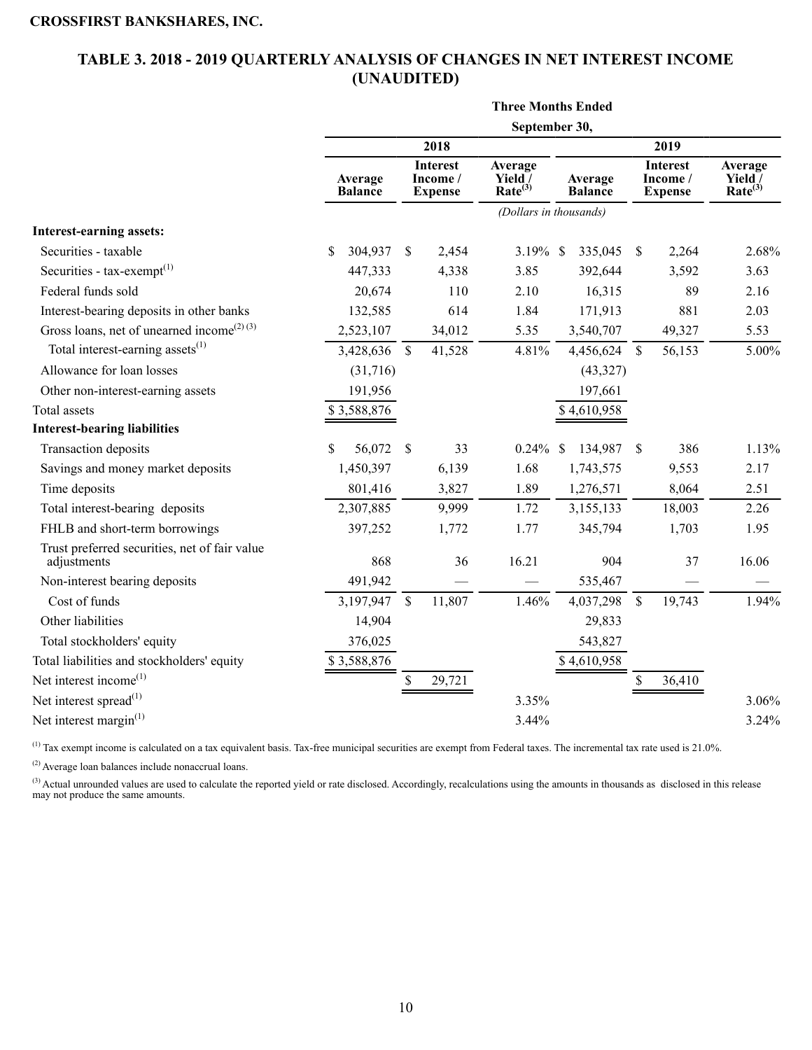# <span id="page-9-0"></span>**TABLE 3. 2018 - 2019 QUARTERLY ANALYSIS OF CHANGES IN NET INTEREST INCOME (UNAUDITED)**

**Three Months Ended**

|                                                              |                           |              |                                               | September 30,                             |                           |                    |                                               |                                    |
|--------------------------------------------------------------|---------------------------|--------------|-----------------------------------------------|-------------------------------------------|---------------------------|--------------------|-----------------------------------------------|------------------------------------|
|                                                              |                           |              | 2018                                          |                                           |                           |                    | 2019                                          |                                    |
|                                                              | Average<br><b>Balance</b> |              | <b>Interest</b><br>Income /<br><b>Expense</b> | Average<br>Yield /<br>Rate <sup>(3)</sup> | Average<br><b>Balance</b> |                    | <b>Interest</b><br>Income /<br><b>Expense</b> | Average<br>Yield /<br>$Rate^{(3)}$ |
|                                                              |                           |              |                                               | (Dollars in thousands)                    |                           |                    |                                               |                                    |
| <b>Interest-earning assets:</b>                              |                           |              |                                               |                                           |                           |                    |                                               |                                    |
| Securities - taxable                                         | \$<br>304,937             | \$           | 2,454                                         | 3.19% \$                                  | 335,045                   | \$                 | 2,264                                         | 2.68%                              |
| Securities - $tax\text{-}exempt(1)$                          | 447,333                   |              | 4,338                                         | 3.85                                      | 392,644                   |                    | 3,592                                         | 3.63                               |
| Federal funds sold                                           | 20,674                    |              | 110                                           | 2.10                                      | 16,315                    |                    | 89                                            | 2.16                               |
| Interest-bearing deposits in other banks                     | 132,585                   |              | 614                                           | 1.84                                      | 171,913                   |                    | 881                                           | 2.03                               |
| Gross loans, net of unearned income <sup>(2)(3)</sup>        | 2,523,107                 |              | 34,012                                        | 5.35                                      | 3,540,707                 |                    | 49,327                                        | 5.53                               |
| Total interest-earning assets <sup>(1)</sup>                 | 3,428,636                 | $\mathbb{S}$ | 41,528                                        | 4.81%                                     | 4,456,624                 | $\mathbf{\hat{s}}$ | 56,153                                        | 5.00%                              |
| Allowance for loan losses                                    | (31,716)                  |              |                                               |                                           | (43, 327)                 |                    |                                               |                                    |
| Other non-interest-earning assets                            | 191,956                   |              |                                               |                                           | 197,661                   |                    |                                               |                                    |
| Total assets                                                 | \$3,588,876               |              |                                               |                                           | \$4,610,958               |                    |                                               |                                    |
| <b>Interest-bearing liabilities</b>                          |                           |              |                                               |                                           |                           |                    |                                               |                                    |
| Transaction deposits                                         | \$<br>56,072              | $\mathbb{S}$ | 33                                            | $0.24\%$ \$                               | 134,987                   | -S                 | 386                                           | 1.13%                              |
| Savings and money market deposits                            | 1,450,397                 |              | 6,139                                         | 1.68                                      | 1,743,575                 |                    | 9,553                                         | 2.17                               |
| Time deposits                                                | 801,416                   |              | 3,827                                         | 1.89                                      | 1,276,571                 |                    | 8,064                                         | 2.51                               |
| Total interest-bearing deposits                              | 2,307,885                 |              | 9,999                                         | 1.72                                      | 3,155,133                 |                    | 18,003                                        | 2.26                               |
| FHLB and short-term borrowings                               | 397,252                   |              | 1,772                                         | 1.77                                      | 345,794                   |                    | 1,703                                         | 1.95                               |
| Trust preferred securities, net of fair value<br>adjustments | 868                       |              | 36                                            | 16.21                                     | 904                       |                    | 37                                            | 16.06                              |
| Non-interest bearing deposits                                | 491,942                   |              |                                               |                                           | 535,467                   |                    |                                               |                                    |
| Cost of funds                                                | 3,197,947                 | \$           | 11,807                                        | 1.46%                                     | 4,037,298                 | \$                 | 19,743                                        | 1.94%                              |
| Other liabilities                                            | 14,904                    |              |                                               |                                           | 29,833                    |                    |                                               |                                    |
| Total stockholders' equity                                   | 376,025                   |              |                                               |                                           | 543,827                   |                    |                                               |                                    |
| Total liabilities and stockholders' equity                   | \$3,588,876               |              |                                               |                                           | \$4,610,958               |                    |                                               |                                    |
| Net interest income <sup>(1)</sup>                           |                           | \$           | 29,721                                        |                                           |                           | \$                 | 36,410                                        |                                    |
| Net interest spread <sup>(1)</sup>                           |                           |              |                                               | 3.35%                                     |                           |                    |                                               | 3.06%                              |
| Net interest margin <sup>(1)</sup>                           |                           |              |                                               | 3.44%                                     |                           |                    |                                               | 3.24%                              |

<sup>(1)</sup> Tax exempt income is calculated on a tax equivalent basis. Tax-free municipal securities are exempt from Federal taxes. The incremental tax rate used is 21.0%.

(2) Average loan balances include nonaccrual loans.

<sup>(3)</sup> Actual unrounded values are used to calculate the reported yield or rate disclosed. Accordingly, recalculations using the amounts in thousands as disclosed in this release may not produce the same amounts.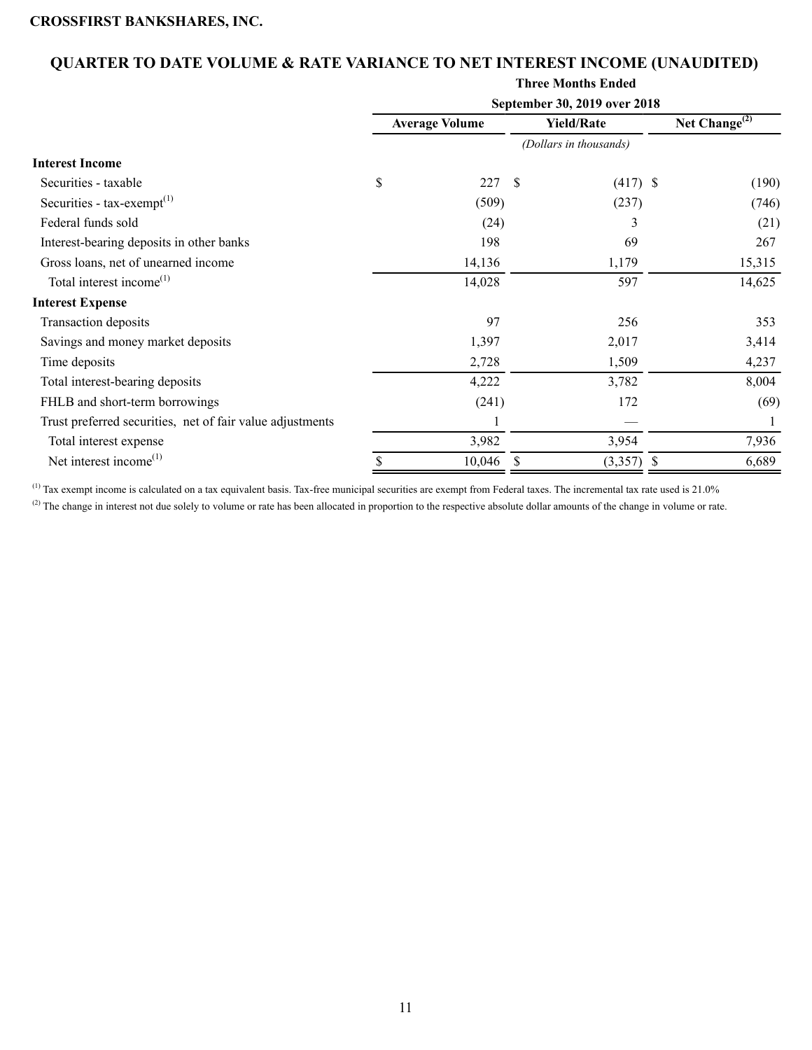# **QUARTER TO DATE VOLUME & RATE VARIANCE TO NET INTEREST INCOME (UNAUDITED)**

#### **Three Months Ended**

|                                                           |                       |    | September 30, 2019 over 2018 |                     |        |
|-----------------------------------------------------------|-----------------------|----|------------------------------|---------------------|--------|
|                                                           | <b>Average Volume</b> |    | <b>Yield/Rate</b>            | Net Change $^{(2)}$ |        |
|                                                           |                       |    | (Dollars in thousands)       |                     |        |
| <b>Interest Income</b>                                    |                       |    |                              |                     |        |
| Securities - taxable                                      | \$<br>227             | -S | $(417)$ \$                   |                     | (190)  |
| Securities - $tax\text{-}exempt(1)$                       | (509)                 |    | (237)                        |                     | (746)  |
| Federal funds sold                                        | (24)                  |    | 3                            |                     | (21)   |
| Interest-bearing deposits in other banks                  | 198                   |    | 69                           |                     | 267    |
| Gross loans, net of unearned income                       | 14,136                |    | 1,179                        |                     | 15,315 |
| Total interest income <sup>(1)</sup>                      | 14,028                |    | 597                          |                     | 14,625 |
| <b>Interest Expense</b>                                   |                       |    |                              |                     |        |
| Transaction deposits                                      | 97                    |    | 256                          |                     | 353    |
| Savings and money market deposits                         | 1,397                 |    | 2,017                        |                     | 3,414  |
| Time deposits                                             | 2,728                 |    | 1,509                        |                     | 4,237  |
| Total interest-bearing deposits                           | 4,222                 |    | 3,782                        |                     | 8,004  |
| FHLB and short-term borrowings                            | (241)                 |    | 172                          |                     | (69)   |
| Trust preferred securities, net of fair value adjustments |                       |    |                              |                     |        |
| Total interest expense                                    | 3,982                 |    | 3,954                        |                     | 7,936  |
| Net interest income $^{(1)}$                              | 10,046                |    | (3,357)                      |                     | 6,689  |

<sup>(1)</sup> Tax exempt income is calculated on a tax equivalent basis. Tax-free municipal securities are exempt from Federal taxes. The incremental tax rate used is 21.0%

<sup>(2)</sup> The change in interest not due solely to volume or rate has been allocated in proportion to the respective absolute dollar amounts of the change in volume or rate.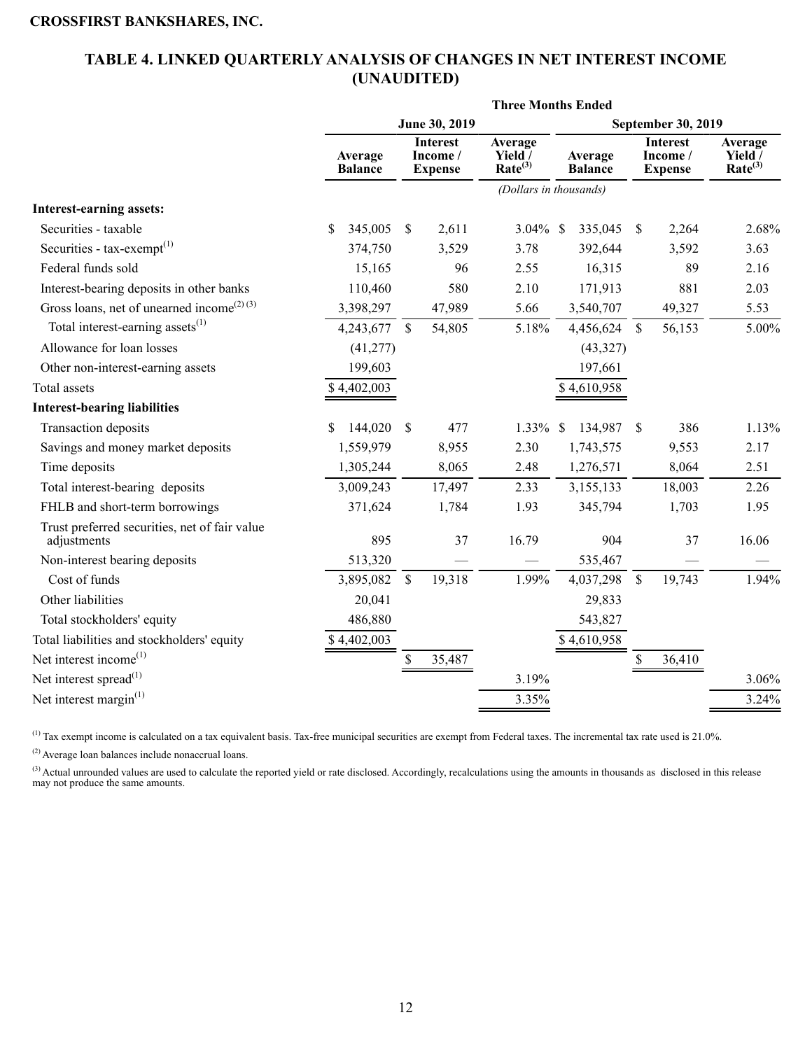# <span id="page-11-0"></span>**TABLE 4. LINKED QUARTERLY ANALYSIS OF CHANGES IN NET INTEREST INCOME (UNAUDITED)**

| June 30, 2019<br>September 30, 2019<br><b>Interest</b><br>Average<br><b>Interest</b><br>Average<br>Income /<br>Yield <sup>7</sup><br>Income /<br>Yield /<br>Average<br>Average<br>Rate <sup>(3)</sup><br>Rate <sup>(3)</sup><br><b>Balance</b><br><b>Balance</b><br><b>Expense</b><br><b>Expense</b><br>(Dollars in thousands)<br><b>Interest-earning assets:</b><br>345,005<br>Securities - taxable<br>\$.<br>\$<br>2,611<br>3.04% \$<br>335,045<br>\$<br>2,264<br>Securities - $tax\text{-}exempt^{(1)}$<br>392,644<br>374,750<br>3,529<br>3.78<br>3,592<br>Federal funds sold<br>15,165<br>96<br>16,315<br>89<br>2.55<br>Interest-bearing deposits in other banks<br>580<br>881<br>110,460<br>2.10<br>171,913<br>Gross loans, net of unearned income <sup>(2)(3)</sup><br>47,989<br>3,398,297<br>5.66<br>49,327<br>3,540,707<br>Total interest-earning assets $^{(1)}$<br>5.18%<br>4,243,677<br>$\mathbb{S}$<br>54,805<br>4,456,624<br>$\mathcal{S}$<br>56,153<br>Allowance for loan losses<br>(41, 277)<br>(43,327)<br>199,603<br>197,661<br>Other non-interest-earning assets<br>Total assets<br>\$4,402,003<br>\$4,610,958<br><b>Interest-bearing liabilities</b><br>1.33%<br>134,987<br>386<br><b>Transaction deposits</b><br>\$<br>144,020<br>$\mathbb{S}$<br>477<br><sup>\$</sup><br>\$<br>2.30<br>Savings and money market deposits<br>1,559,979<br>8,955<br>1,743,575<br>9,553<br>Time deposits<br>1,305,244<br>8,065<br>2.48<br>1,276,571<br>8,064<br>Total interest-bearing deposits<br>3,009,243<br>17,497<br>2.33<br>3,155,133<br>18,003<br>FHLB and short-term borrowings<br>371,624<br>1,784<br>1.93<br>345,794<br>1,703 | 2.68%<br>3.63<br>2.16<br>2.03<br>5.53 |
|-------------------------------------------------------------------------------------------------------------------------------------------------------------------------------------------------------------------------------------------------------------------------------------------------------------------------------------------------------------------------------------------------------------------------------------------------------------------------------------------------------------------------------------------------------------------------------------------------------------------------------------------------------------------------------------------------------------------------------------------------------------------------------------------------------------------------------------------------------------------------------------------------------------------------------------------------------------------------------------------------------------------------------------------------------------------------------------------------------------------------------------------------------------------------------------------------------------------------------------------------------------------------------------------------------------------------------------------------------------------------------------------------------------------------------------------------------------------------------------------------------------------------------------------------------------------------------------------------------------------------------------------|---------------------------------------|
|                                                                                                                                                                                                                                                                                                                                                                                                                                                                                                                                                                                                                                                                                                                                                                                                                                                                                                                                                                                                                                                                                                                                                                                                                                                                                                                                                                                                                                                                                                                                                                                                                                           |                                       |
|                                                                                                                                                                                                                                                                                                                                                                                                                                                                                                                                                                                                                                                                                                                                                                                                                                                                                                                                                                                                                                                                                                                                                                                                                                                                                                                                                                                                                                                                                                                                                                                                                                           |                                       |
|                                                                                                                                                                                                                                                                                                                                                                                                                                                                                                                                                                                                                                                                                                                                                                                                                                                                                                                                                                                                                                                                                                                                                                                                                                                                                                                                                                                                                                                                                                                                                                                                                                           |                                       |
|                                                                                                                                                                                                                                                                                                                                                                                                                                                                                                                                                                                                                                                                                                                                                                                                                                                                                                                                                                                                                                                                                                                                                                                                                                                                                                                                                                                                                                                                                                                                                                                                                                           |                                       |
|                                                                                                                                                                                                                                                                                                                                                                                                                                                                                                                                                                                                                                                                                                                                                                                                                                                                                                                                                                                                                                                                                                                                                                                                                                                                                                                                                                                                                                                                                                                                                                                                                                           |                                       |
|                                                                                                                                                                                                                                                                                                                                                                                                                                                                                                                                                                                                                                                                                                                                                                                                                                                                                                                                                                                                                                                                                                                                                                                                                                                                                                                                                                                                                                                                                                                                                                                                                                           |                                       |
|                                                                                                                                                                                                                                                                                                                                                                                                                                                                                                                                                                                                                                                                                                                                                                                                                                                                                                                                                                                                                                                                                                                                                                                                                                                                                                                                                                                                                                                                                                                                                                                                                                           |                                       |
|                                                                                                                                                                                                                                                                                                                                                                                                                                                                                                                                                                                                                                                                                                                                                                                                                                                                                                                                                                                                                                                                                                                                                                                                                                                                                                                                                                                                                                                                                                                                                                                                                                           |                                       |
|                                                                                                                                                                                                                                                                                                                                                                                                                                                                                                                                                                                                                                                                                                                                                                                                                                                                                                                                                                                                                                                                                                                                                                                                                                                                                                                                                                                                                                                                                                                                                                                                                                           |                                       |
|                                                                                                                                                                                                                                                                                                                                                                                                                                                                                                                                                                                                                                                                                                                                                                                                                                                                                                                                                                                                                                                                                                                                                                                                                                                                                                                                                                                                                                                                                                                                                                                                                                           | 5.00%                                 |
|                                                                                                                                                                                                                                                                                                                                                                                                                                                                                                                                                                                                                                                                                                                                                                                                                                                                                                                                                                                                                                                                                                                                                                                                                                                                                                                                                                                                                                                                                                                                                                                                                                           |                                       |
|                                                                                                                                                                                                                                                                                                                                                                                                                                                                                                                                                                                                                                                                                                                                                                                                                                                                                                                                                                                                                                                                                                                                                                                                                                                                                                                                                                                                                                                                                                                                                                                                                                           |                                       |
|                                                                                                                                                                                                                                                                                                                                                                                                                                                                                                                                                                                                                                                                                                                                                                                                                                                                                                                                                                                                                                                                                                                                                                                                                                                                                                                                                                                                                                                                                                                                                                                                                                           |                                       |
|                                                                                                                                                                                                                                                                                                                                                                                                                                                                                                                                                                                                                                                                                                                                                                                                                                                                                                                                                                                                                                                                                                                                                                                                                                                                                                                                                                                                                                                                                                                                                                                                                                           |                                       |
|                                                                                                                                                                                                                                                                                                                                                                                                                                                                                                                                                                                                                                                                                                                                                                                                                                                                                                                                                                                                                                                                                                                                                                                                                                                                                                                                                                                                                                                                                                                                                                                                                                           | 1.13%                                 |
|                                                                                                                                                                                                                                                                                                                                                                                                                                                                                                                                                                                                                                                                                                                                                                                                                                                                                                                                                                                                                                                                                                                                                                                                                                                                                                                                                                                                                                                                                                                                                                                                                                           | 2.17                                  |
|                                                                                                                                                                                                                                                                                                                                                                                                                                                                                                                                                                                                                                                                                                                                                                                                                                                                                                                                                                                                                                                                                                                                                                                                                                                                                                                                                                                                                                                                                                                                                                                                                                           | 2.51                                  |
|                                                                                                                                                                                                                                                                                                                                                                                                                                                                                                                                                                                                                                                                                                                                                                                                                                                                                                                                                                                                                                                                                                                                                                                                                                                                                                                                                                                                                                                                                                                                                                                                                                           | 2.26                                  |
|                                                                                                                                                                                                                                                                                                                                                                                                                                                                                                                                                                                                                                                                                                                                                                                                                                                                                                                                                                                                                                                                                                                                                                                                                                                                                                                                                                                                                                                                                                                                                                                                                                           | 1.95                                  |
| Trust preferred securities, net of fair value<br>16.79<br>895<br>37<br>904<br>37<br>adjustments                                                                                                                                                                                                                                                                                                                                                                                                                                                                                                                                                                                                                                                                                                                                                                                                                                                                                                                                                                                                                                                                                                                                                                                                                                                                                                                                                                                                                                                                                                                                           | 16.06                                 |
| 513,320<br>Non-interest bearing deposits<br>535,467                                                                                                                                                                                                                                                                                                                                                                                                                                                                                                                                                                                                                                                                                                                                                                                                                                                                                                                                                                                                                                                                                                                                                                                                                                                                                                                                                                                                                                                                                                                                                                                       |                                       |
| Cost of funds<br>3,895,082<br>$\mathbb{S}$<br>19,318<br>1.99%<br>$\mathbf S$<br>19,743<br>4,037,298                                                                                                                                                                                                                                                                                                                                                                                                                                                                                                                                                                                                                                                                                                                                                                                                                                                                                                                                                                                                                                                                                                                                                                                                                                                                                                                                                                                                                                                                                                                                       | 1.94%                                 |
| Other liabilities<br>20,041<br>29,833                                                                                                                                                                                                                                                                                                                                                                                                                                                                                                                                                                                                                                                                                                                                                                                                                                                                                                                                                                                                                                                                                                                                                                                                                                                                                                                                                                                                                                                                                                                                                                                                     |                                       |
| Total stockholders' equity<br>486,880<br>543,827                                                                                                                                                                                                                                                                                                                                                                                                                                                                                                                                                                                                                                                                                                                                                                                                                                                                                                                                                                                                                                                                                                                                                                                                                                                                                                                                                                                                                                                                                                                                                                                          |                                       |
| Total liabilities and stockholders' equity<br>\$4,402,003<br>\$4,610,958                                                                                                                                                                                                                                                                                                                                                                                                                                                                                                                                                                                                                                                                                                                                                                                                                                                                                                                                                                                                                                                                                                                                                                                                                                                                                                                                                                                                                                                                                                                                                                  |                                       |
| Net interest income $^{(1)}$<br>35,487<br>\$<br>\$<br>36,410                                                                                                                                                                                                                                                                                                                                                                                                                                                                                                                                                                                                                                                                                                                                                                                                                                                                                                                                                                                                                                                                                                                                                                                                                                                                                                                                                                                                                                                                                                                                                                              |                                       |
| Net interest spread $^{(1)}$<br>3.19%                                                                                                                                                                                                                                                                                                                                                                                                                                                                                                                                                                                                                                                                                                                                                                                                                                                                                                                                                                                                                                                                                                                                                                                                                                                                                                                                                                                                                                                                                                                                                                                                     | 3.06%                                 |
| Net interest margin $(1)$<br>3.35%<br>3.24%                                                                                                                                                                                                                                                                                                                                                                                                                                                                                                                                                                                                                                                                                                                                                                                                                                                                                                                                                                                                                                                                                                                                                                                                                                                                                                                                                                                                                                                                                                                                                                                               |                                       |

(1) Tax exempt income is calculated on a tax equivalent basis. Tax-free municipal securities are exempt from Federal taxes. The incremental tax rate used is 21.0%.

(2) Average loan balances include nonaccrual loans.

 $(3)$  Actual unrounded values are used to calculate the reported yield or rate disclosed. Accordingly, recalculations using the amounts in thousands as disclosed in this release may not produce the same amounts.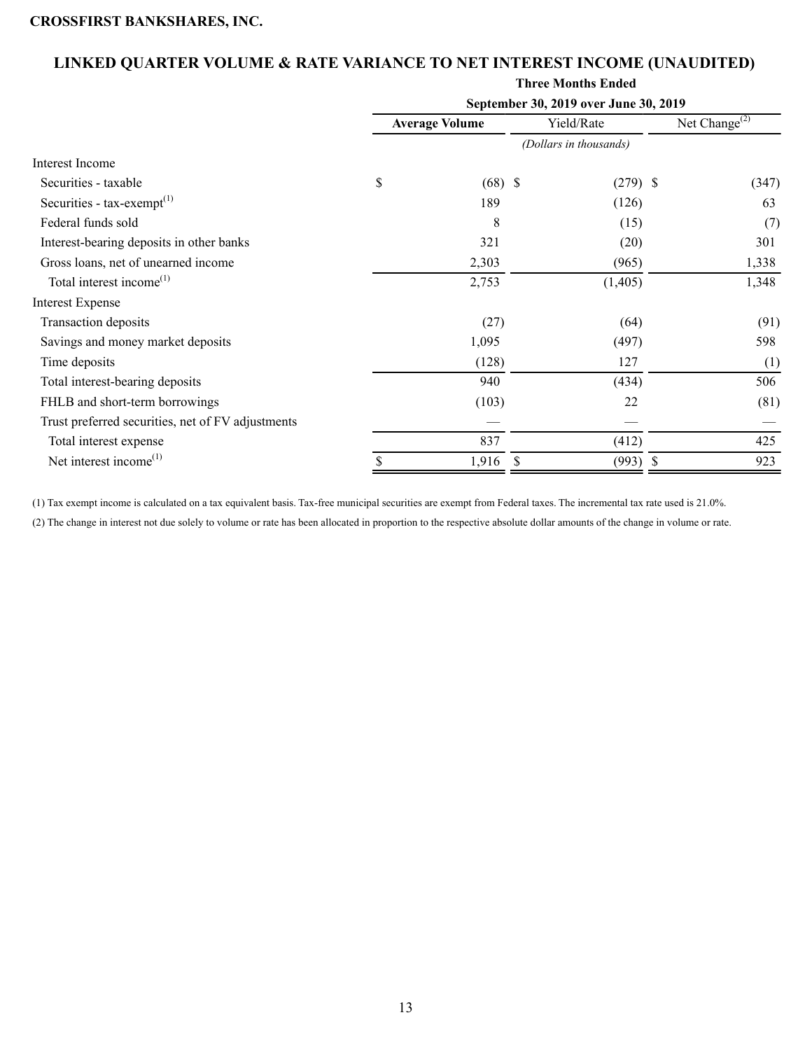# **LINKED QUARTER VOLUME & RATE VARIANCE TO NET INTEREST INCOME (UNAUDITED)**

# **Three Months Ended September 30, 2019 over June 30, 2019 Average Volume** Yield/Rate Net Change<sup>(2)</sup> *(Dollars in thousands)* Interest Income Securities - taxable  $\qquad \qquad$  \$ (68) \$ (279) \$ (347) Securities - tax-exempt<sup>(1)</sup> 189 (126) 63 Federal funds sold  $\qquad \qquad \qquad$  (15) (7) Interest-bearing deposits in other banks 321 (20) 301 301 Gross loans, net of unearned income 2,303 (965) 1,338 Total interest income<sup>(1)</sup> 2,753 (1,405) 1,348 Interest Expense Transaction deposits  $(27)$  (64) (91) Savings and money market deposits and the state of the state of the state of the state of the state of the state of the state of the state of the state of the state of the state of the state of the state of the state of th Time deposits  $(128)$   $127$   $(1)$ Total interest-bearing deposits 506 (434) 506 FHLB and short-term borrowings (103) 22 (81) Trust preferred securities, net of FV adjustments

(1) Tax exempt income is calculated on a tax equivalent basis. Tax-free municipal securities are exempt from Federal taxes. The incremental tax rate used is 21.0%.

(2) The change in interest not due solely to volume or rate has been allocated in proportion to the respective absolute dollar amounts of the change in volume or rate.

Total interest expense  $\begin{array}{ccc} 837 & \phantom{0} & (412) \\ \end{array}$  425 Net interest income<sup>(1)</sup>  $\frac{1}{\sqrt{993}}$   $\frac{1}{\sqrt{993}}$   $\frac{1}{\sqrt{993}}$   $\frac{1}{\sqrt{993}}$   $\frac{1}{\sqrt{993}}$   $\frac{923}{\sqrt{993}}$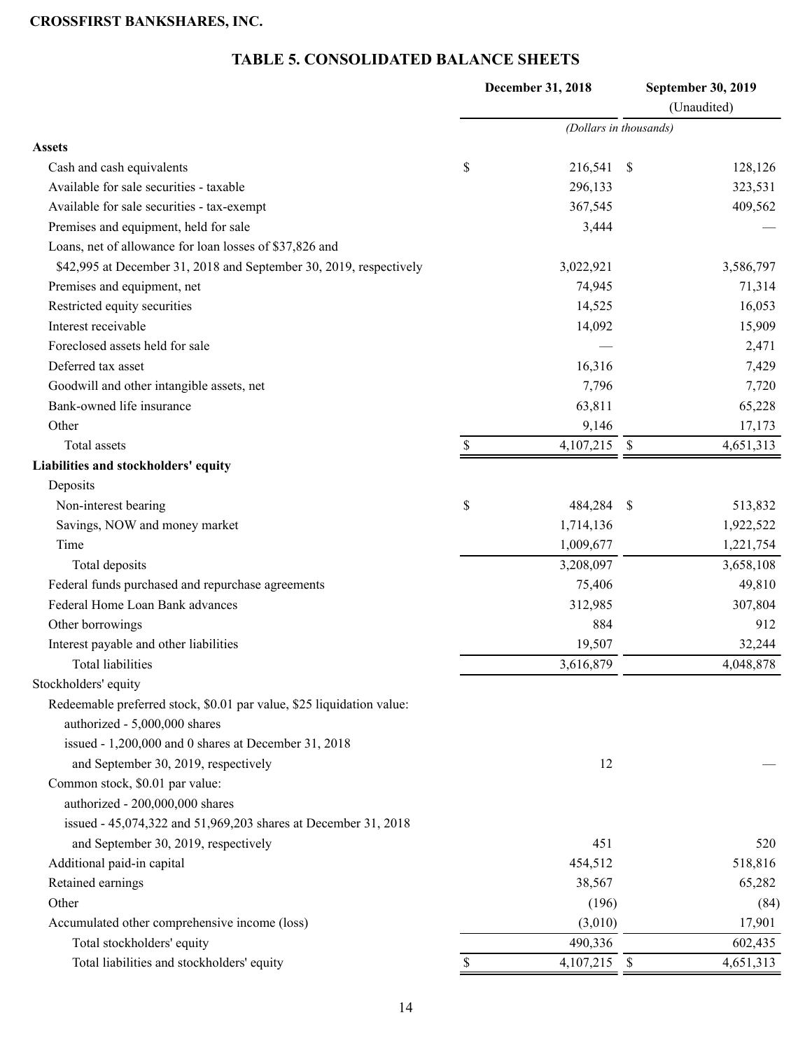# **TABLE 5. CONSOLIDATED BALANCE SHEETS**

<span id="page-13-0"></span>

|                                                                       | December 31, 2018      |      | September 30, 2019 |
|-----------------------------------------------------------------------|------------------------|------|--------------------|
|                                                                       |                        |      | (Unaudited)        |
|                                                                       | (Dollars in thousands) |      |                    |
| <b>Assets</b>                                                         |                        |      |                    |
| Cash and cash equivalents                                             | \$<br>216,541          | \$   | 128,126            |
| Available for sale securities - taxable                               | 296,133                |      | 323,531            |
| Available for sale securities - tax-exempt                            | 367,545                |      | 409,562            |
| Premises and equipment, held for sale                                 | 3,444                  |      |                    |
| Loans, net of allowance for loan losses of \$37,826 and               |                        |      |                    |
| \$42,995 at December 31, 2018 and September 30, 2019, respectively    | 3,022,921              |      | 3,586,797          |
| Premises and equipment, net                                           | 74,945                 |      | 71,314             |
| Restricted equity securities                                          | 14,525                 |      | 16,053             |
| Interest receivable                                                   | 14,092                 |      | 15,909             |
| Foreclosed assets held for sale                                       |                        |      | 2,471              |
| Deferred tax asset                                                    | 16,316                 |      | 7,429              |
| Goodwill and other intangible assets, net                             | 7,796                  |      | 7,720              |
| Bank-owned life insurance                                             | 63,811                 |      | 65,228             |
| Other                                                                 | 9,146                  |      | 17,173             |
| Total assets                                                          | \$<br>4,107,215        | - \$ | 4,651,313          |
| Liabilities and stockholders' equity                                  |                        |      |                    |
| Deposits                                                              |                        |      |                    |
| Non-interest bearing                                                  | \$<br>484,284          | - \$ | 513,832            |
| Savings, NOW and money market                                         | 1,714,136              |      | 1,922,522          |
| Time                                                                  | 1,009,677              |      | 1,221,754          |
| Total deposits                                                        | 3,208,097              |      | 3,658,108          |
| Federal funds purchased and repurchase agreements                     | 75,406                 |      | 49,810             |
| Federal Home Loan Bank advances                                       | 312,985                |      | 307,804            |
| Other borrowings                                                      | 884                    |      | 912                |
| Interest payable and other liabilities                                | 19,507                 |      | 32,244             |
| <b>Total liabilities</b>                                              | 3,616,879              |      | 4,048,878          |
| Stockholders' equity                                                  |                        |      |                    |
| Redeemable preferred stock, \$0.01 par value, \$25 liquidation value: |                        |      |                    |
| authorized - 5,000,000 shares                                         |                        |      |                    |
| issued - 1,200,000 and 0 shares at December 31, 2018                  |                        |      |                    |
| and September 30, 2019, respectively                                  | 12                     |      |                    |
| Common stock, \$0.01 par value:                                       |                        |      |                    |
| authorized - 200,000,000 shares                                       |                        |      |                    |
| issued - 45,074,322 and 51,969,203 shares at December 31, 2018        |                        |      |                    |
| and September 30, 2019, respectively                                  | 451                    |      | 520                |
| Additional paid-in capital                                            | 454,512                |      | 518,816            |
| Retained earnings                                                     | 38,567                 |      | 65,282             |
| Other                                                                 | (196)                  |      | (84)               |
| Accumulated other comprehensive income (loss)                         | (3,010)                |      | 17,901             |
| Total stockholders' equity                                            | 490,336                |      | 602,435            |
| Total liabilities and stockholders' equity                            | \$<br>4,107,215 \$     |      | 4,651,313          |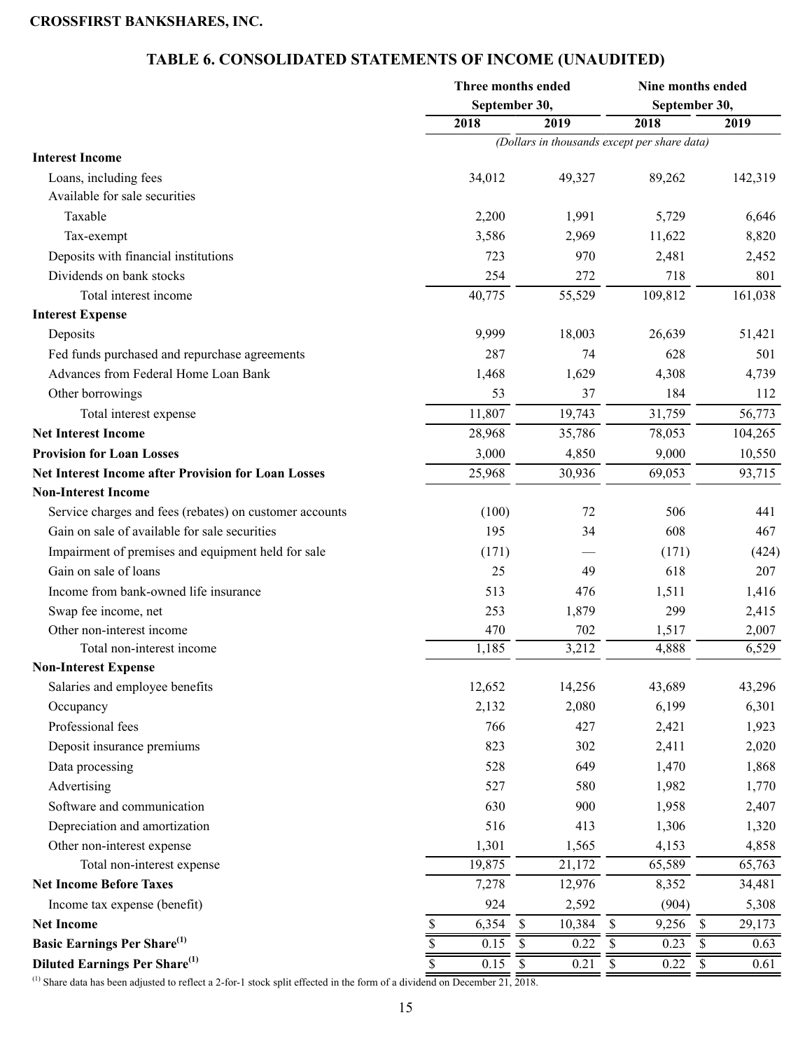# **TABLE 6. CONSOLIDATED STATEMENTS OF INCOME (UNAUDITED)**

<span id="page-14-0"></span>

|                                                            |                                 | Three months ended      | Nine months ended                                           |                                   |  |  |  |
|------------------------------------------------------------|---------------------------------|-------------------------|-------------------------------------------------------------|-----------------------------------|--|--|--|
|                                                            |                                 | September 30,           | September 30,                                               |                                   |  |  |  |
|                                                            | 2018                            | 2019                    | 2018                                                        | 2019                              |  |  |  |
|                                                            |                                 |                         | $\overline{ (Dollars in thousands except per share data) }$ |                                   |  |  |  |
| <b>Interest Income</b>                                     |                                 |                         |                                                             |                                   |  |  |  |
| Loans, including fees                                      | 34,012                          | 49,327                  | 89,262                                                      | 142,319                           |  |  |  |
| Available for sale securities                              |                                 |                         |                                                             |                                   |  |  |  |
| Taxable                                                    | 2,200                           | 1,991                   | 5,729                                                       | 6,646                             |  |  |  |
| Tax-exempt                                                 | 3,586                           | 2,969                   | 11,622                                                      | 8,820                             |  |  |  |
| Deposits with financial institutions                       | 723                             | 970                     | 2,481                                                       | 2,452                             |  |  |  |
| Dividends on bank stocks                                   | 254                             | 272                     | 718                                                         | 801                               |  |  |  |
| Total interest income                                      | 40,775                          | 55,529                  | 109,812                                                     | 161,038                           |  |  |  |
| <b>Interest Expense</b>                                    |                                 |                         |                                                             |                                   |  |  |  |
| Deposits                                                   | 9,999                           | 18,003                  | 26,639                                                      | 51,421                            |  |  |  |
| Fed funds purchased and repurchase agreements              | 287                             | 74                      | 628                                                         | 501                               |  |  |  |
| Advances from Federal Home Loan Bank                       | 1,468                           | 1,629                   | 4,308                                                       | 4,739                             |  |  |  |
| Other borrowings                                           | 53                              | 37                      | 184                                                         | 112                               |  |  |  |
| Total interest expense                                     | 11,807                          | 19,743                  | 31,759                                                      | 56,773                            |  |  |  |
| <b>Net Interest Income</b>                                 | 28,968                          | 35,786                  | 78,053                                                      | 104,265                           |  |  |  |
| <b>Provision for Loan Losses</b>                           | 3,000                           | 4,850                   | 9,000                                                       | 10,550                            |  |  |  |
| <b>Net Interest Income after Provision for Loan Losses</b> | 25,968                          | 30,936                  | 69,053                                                      | 93,715                            |  |  |  |
| <b>Non-Interest Income</b>                                 |                                 |                         |                                                             |                                   |  |  |  |
| Service charges and fees (rebates) on customer accounts    | (100)                           | 72                      | 506                                                         | 441                               |  |  |  |
| Gain on sale of available for sale securities              | 195                             | 34                      | 608                                                         | 467                               |  |  |  |
| Impairment of premises and equipment held for sale         | (171)                           |                         | (171)                                                       | (424)                             |  |  |  |
| Gain on sale of loans                                      | 25                              | 49                      | 618                                                         | 207                               |  |  |  |
| Income from bank-owned life insurance                      | 513                             | 476                     | 1,511                                                       | 1,416                             |  |  |  |
| Swap fee income, net                                       | 253                             | 1,879                   | 299                                                         | 2,415                             |  |  |  |
| Other non-interest income                                  | 470                             | 702                     | 1,517                                                       | 2,007                             |  |  |  |
| Total non-interest income                                  | 1,185                           | 3,212                   | 4,888                                                       | 6,529                             |  |  |  |
| <b>Non-Interest Expense</b>                                |                                 |                         |                                                             |                                   |  |  |  |
| Salaries and employee benefits                             | 12,652                          | 14,256                  | 43,689                                                      | 43,296                            |  |  |  |
| Occupancy                                                  | 2,132                           | 2,080                   | 6,199                                                       | 6,301                             |  |  |  |
| Professional fees                                          | 766                             | 427                     | 2,421                                                       | 1,923                             |  |  |  |
| Deposit insurance premiums                                 | 823                             | 302                     | 2,411                                                       | 2,020                             |  |  |  |
| Data processing                                            | 528                             | 649                     | 1,470                                                       | 1,868                             |  |  |  |
| Advertising                                                | 527                             | 580                     | 1,982                                                       | 1,770                             |  |  |  |
| Software and communication                                 | 630                             | 900                     | 1,958                                                       | 2,407                             |  |  |  |
| Depreciation and amortization                              | 516                             | 413                     | 1,306                                                       | 1,320                             |  |  |  |
| Other non-interest expense                                 | 1,301                           | 1,565                   | 4,153                                                       | 4,858                             |  |  |  |
| Total non-interest expense                                 | 19,875                          | 21,172                  | 65,589                                                      | 65,763                            |  |  |  |
| <b>Net Income Before Taxes</b>                             | 7,278                           | 12,976                  | 8,352                                                       | 34,481                            |  |  |  |
| Income tax expense (benefit)                               | 924                             | 2,592                   | (904)                                                       | 5,308                             |  |  |  |
| <b>Net Income</b>                                          | 6,354<br>\$                     | $\mathbb S$<br>10,384   | 9,256<br>$\mathbb S$                                        | $\mathbb{S}$<br>29,173            |  |  |  |
| <b>Basic Earnings Per Share</b> <sup>(1)</sup>             | $\overline{\$}$<br>0.15         | $\overline{\$}$<br>0.22 | $\mathbb S$<br>0.23                                         | $\boldsymbol{\mathsf{S}}$<br>0.63 |  |  |  |
| Diluted Earnings Per Share <sup>(1)</sup>                  | $\overline{\mathbb{S}}$<br>0.15 | 0.21<br>\$              | \$<br>0.22                                                  | \$                                |  |  |  |
|                                                            |                                 |                         |                                                             | 0.61                              |  |  |  |

(1) Share data has been adjusted to reflect a 2-for-1 stock split effected in the form of a dividend on December 21,  $\overline{2018}$ .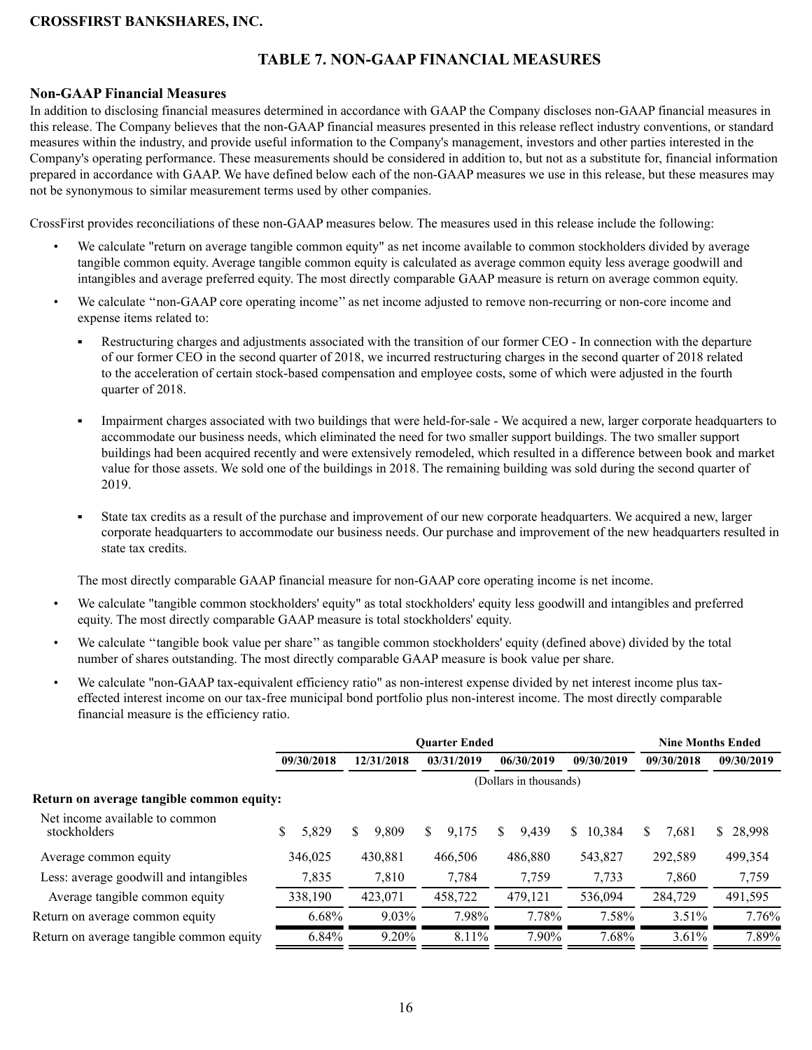# **TABLE 7. NON-GAAP FINANCIAL MEASURES**

#### <span id="page-15-0"></span>**Non-GAAP Financial Measures**

In addition to disclosing financial measures determined in accordance with GAAP the Company discloses non-GAAP financial measures in this release. The Company believes that the non-GAAP financial measures presented in this release reflect industry conventions, or standard measures within the industry, and provide useful information to the Company's management, investors and other parties interested in the Company's operating performance. These measurements should be considered in addition to, but not as a substitute for, financial information prepared in accordance with GAAP. We have defined below each of the non-GAAP measures we use in this release, but these measures may not be synonymous to similar measurement terms used by other companies.

CrossFirst provides reconciliations of these non-GAAP measures below. The measures used in this release include the following:

- We calculate "return on average tangible common equity" as net income available to common stockholders divided by average tangible common equity. Average tangible common equity is calculated as average common equity less average goodwill and intangibles and average preferred equity. The most directly comparable GAAP measure is return on average common equity.
- We calculate "non-GAAP core operating income" as net income adjusted to remove non-recurring or non-core income and expense items related to:
	- ä, Restructuring charges and adjustments associated with the transition of our former CEO - In connection with the departure of our former CEO in the second quarter of 2018, we incurred restructuring charges in the second quarter of 2018 related to the acceleration of certain stock-based compensation and employee costs, some of which were adjusted in the fourth quarter of 2018.
	- Impairment charges associated with two buildings that were held-for-sale We acquired a new, larger corporate headquarters to accommodate our business needs, which eliminated the need for two smaller support buildings. The two smaller support buildings had been acquired recently and were extensively remodeled, which resulted in a difference between book and market value for those assets. We sold one of the buildings in 2018. The remaining building was sold during the second quarter of 2019.
	- State tax credits as a result of the purchase and improvement of our new corporate headquarters. We acquired a new, larger ×. corporate headquarters to accommodate our business needs. Our purchase and improvement of the new headquarters resulted in state tax credits.

The most directly comparable GAAP financial measure for non-GAAP core operating income is net income.

- We calculate "tangible common stockholders' equity" as total stockholders' equity less goodwill and intangibles and preferred equity. The most directly comparable GAAP measure is total stockholders' equity.
- We calculate ''tangible book value per share'' as tangible common stockholders' equity (defined above) divided by the total number of shares outstanding. The most directly comparable GAAP measure is book value per share.
- We calculate "non-GAAP tax-equivalent efficiency ratio" as non-interest expense divided by net interest income plus taxeffected interest income on our tax-free municipal bond portfolio plus non-interest income. The most directly comparable financial measure is the efficiency ratio.

|                                                |             | <b>Ouarter Ended</b> | <b>Nine Months Ended</b> |             |              |            |            |
|------------------------------------------------|-------------|----------------------|--------------------------|-------------|--------------|------------|------------|
|                                                | 09/30/2018  | 12/31/2018           | 03/31/2019<br>06/30/2019 |             | 09/30/2019   | 09/30/2018 | 09/30/2019 |
|                                                |             |                      |                          |             |              |            |            |
| Return on average tangible common equity:      |             |                      |                          |             |              |            |            |
| Net income available to common<br>stockholders | \$<br>5,829 | S<br>9,809           | \$<br>9,175              | 9,439<br>S. | 10,384<br>S. | S<br>7,681 | \$28,998   |
| Average common equity                          | 346,025     | 430,881              | 466,506                  | 486,880     | 543,827      | 292,589    | 499,354    |
| Less: average goodwill and intangibles         | 7,835       | 7,810                | 7,784                    | 7,759       | 7,733        | 7,860      | 7,759      |
| Average tangible common equity                 | 338,190     | 423,071              | 458,722                  | 479,121     | 536.094      | 284,729    | 491,595    |
| Return on average common equity                | 6.68%       | $9.03\%$             | 7.98%                    | 7.78%       | 7.58%        | $3.51\%$   | 7.76%      |
| Return on average tangible common equity       | 6.84%       | 9.20%                | 8.11%                    | 7.90%       | 7.68%        | $3.61\%$   | 7.89%      |
|                                                |             |                      |                          |             |              |            |            |